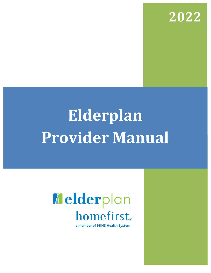

# **Elderplan Provider Manual**

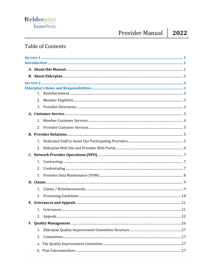## Provider Manual

2022

### **Table of Contents**

| 2. |    |
|----|----|
| 3. |    |
|    |    |
| 1. |    |
| 2. |    |
|    |    |
| 1. |    |
| 2. |    |
|    |    |
|    |    |
| 2. |    |
| 3. |    |
|    |    |
| 1. |    |
| 2. |    |
|    |    |
|    | 21 |
| 2. |    |
|    |    |
| 1. |    |
| 2. |    |
| a. |    |
|    |    |
|    |    |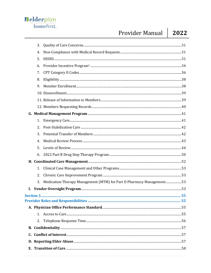## Provider Manual

2022

|    | 3. |                                                                      |  |
|----|----|----------------------------------------------------------------------|--|
|    | 4. |                                                                      |  |
|    | 5. |                                                                      |  |
|    | 6. |                                                                      |  |
|    | 7. |                                                                      |  |
|    | 8. |                                                                      |  |
|    | 9. |                                                                      |  |
|    |    |                                                                      |  |
|    |    |                                                                      |  |
|    |    |                                                                      |  |
|    |    |                                                                      |  |
|    | 1. |                                                                      |  |
|    | 2. |                                                                      |  |
|    | 3. |                                                                      |  |
|    | 4. |                                                                      |  |
|    | 5. |                                                                      |  |
|    | 6. |                                                                      |  |
|    |    |                                                                      |  |
|    | 1. |                                                                      |  |
|    | 2. |                                                                      |  |
|    | 3. | Medication Therapy Management (MTM) for Part D Pharmacy Management53 |  |
| I. |    |                                                                      |  |
|    |    |                                                                      |  |
|    |    |                                                                      |  |
|    |    |                                                                      |  |
|    |    |                                                                      |  |
|    |    |                                                                      |  |
|    |    |                                                                      |  |
|    |    |                                                                      |  |
|    |    |                                                                      |  |
|    |    |                                                                      |  |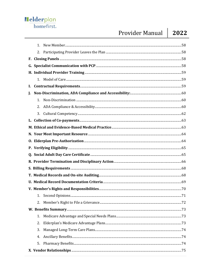## Provider Manual

|    | $1_{-}$ |  |    |
|----|---------|--|----|
|    |         |  |    |
|    |         |  |    |
|    |         |  |    |
|    |         |  |    |
|    |         |  |    |
| I. |         |  |    |
| J. |         |  |    |
|    | 1.      |  |    |
|    | 2.      |  |    |
|    | 3.      |  |    |
|    |         |  |    |
|    |         |  |    |
|    |         |  |    |
|    |         |  |    |
|    |         |  |    |
|    |         |  |    |
|    |         |  |    |
|    |         |  |    |
|    |         |  |    |
|    |         |  |    |
|    |         |  |    |
|    |         |  | 71 |
|    |         |  |    |
|    |         |  |    |
|    | 1.      |  |    |
|    | 2.      |  |    |
|    | 3.      |  |    |
|    | 4.      |  |    |
|    | 5.      |  |    |
|    |         |  |    |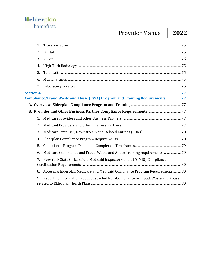## Provider Manual **2022**

| 1. |                                                                                |
|----|--------------------------------------------------------------------------------|
| 2. |                                                                                |
| 3. |                                                                                |
| 4. |                                                                                |
| 5. |                                                                                |
| 6. |                                                                                |
| 7. |                                                                                |
|    |                                                                                |
|    | Compliance/Fraud Waste and Abuse (FWA) Program and Training Requirements 77    |
|    |                                                                                |
|    |                                                                                |
| 1. |                                                                                |
| 2. |                                                                                |
| 3. |                                                                                |
| 4. |                                                                                |
| 5. |                                                                                |
| 6. | Medicare Compliance and Fraud, Waste and Abuse Training requirements 79        |
| 7. | New York State Office of the Medicaid Inspector General (OMIG) Compliance      |
| 8. | Accessing Elderplan Medicare and Medicaid Compliance Program Requirements80    |
| 9. | Reporting information about Suspected Non-Compliance or Fraud, Waste and Abuse |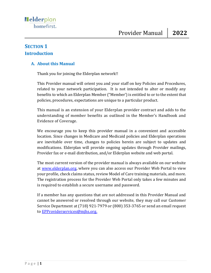#### <span id="page-5-1"></span><span id="page-5-0"></span>**SECTION 1 Introduction**

#### <span id="page-5-2"></span>**A. About this Manual**

Thank you for joining the Elderplan network!!

This Provider manual will orient you and your staff on key Policies and Procedures, related to your network participation. It is not intended to alter or modify any benefits to which an Elderplan Member ("Member') is entitled to or to the extent that policies, procedures, expectations are unique to a particular product.

This manual is an extension of your Elderplan provider contract and adds to the understanding of member benefits as outlined in the Member's Handbook and Evidence of Coverage.

We encourage you to keep this provider manual in a convenient and accessible location. Since changes in Medicare and Medicaid policies and Elderplan operations are inevitable over time, changes to policies herein are subject to updates and modifications. Elderplan will provide ongoing updates through Provider mailings, Provider fax or e-mail distribution, and/or Elderplan website and web portal.

The most current version of the provider manual is always available on our website at [www.elderplan.org,](http://www.elderplan.org/) where you can also access our Provider Web Portal to view your profile, check claims status, review Model of Care training materials, and more. The registration process for the Provider Web Portal only takes a few minutes and is required to establish a secure username and password.

If a member has any questions that are not addressed in this Provider Manual and cannot be answered or resolved through our website, they may call our Customer Service Department at (718) 921-7979 or (800) 353-3765 or send an email request to [EPProviderservices@mjhs.org.](mailto:EPProviderservices@mjhs.org)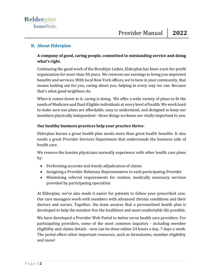#### <span id="page-6-0"></span>**B. About Elderplan**

#### **A company of good, caring people, committed to outstanding service and doing what's right.**

Continuing the good work of the Brooklyn Ladies, Elderplan has been a not-for-profit organization for more than 30 years. We reinvest our earnings to bring you improved benefits and services. With local New York offices, we're here in your community, that means looking out for you, caring about you, helping in every way we can. Because that's what good neighbors do.

When it comes down to it, caring is doing. We offer a wide variety of plans to fit the needs of Medicare and Dual-Eligible individuals at every level of health. We work hard to make sure our plans are affordable, easy to understand, and designed to keep our members physically independent - three things we know are vitally important to you.

#### **Our healthy business practices help your practice thrive.**

Elderplan knows a great health plan needs more than great health benefits. It also needs a great Provider Services Department that understands the business side of health care.

We remove the hassles physicians normally experience with other health care plans by:

- Performing accurate and timely adjudication of claims
- Assigning a Provider Relations Representative to each participating Provider
- Minimizing referral requirements for routine, medically necessary services provided by participating specialists

At Elderplan, we've also made it easier for patients to follow your prescribed care. Our care managers work with members with advanced chronic conditions and their doctors and nurses. Together, the team assures that a personalized health plan is developed to help the member live the healthiest and most comfortable life possible.

We have developed a Provider Web Portal to better serve health care providers. For participating providers, some of the most common inquiries - including member eligibility and claims details - now can be done online 24 hours a day, 7 days a week. The portal offers other important resources, such as formularies, member eligibility and more!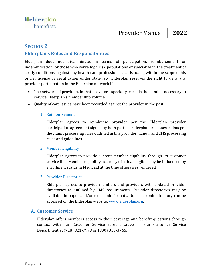#### <span id="page-7-0"></span>**SECTION 2**

#### <span id="page-7-1"></span>**Elderplan's Roles and Responsibilities**

Elderplan does not discriminate, in terms of participation, reimbursement or indemnification, or those who serve high risk populations or specialize in the treatment of costly conditions, against any health care professional that is acting within the scope of his or her license or certification under state law. Elderplan reserves the right to deny any provider participation in the Elderplan network if:

- The network of providers in that provider's specialty exceeds the number necessary to service Elderplan's membership volume.
- <span id="page-7-2"></span>• Quality of care issues have been recorded against the provider in the past.

#### 1. Reimbursement

Elderplan agrees to reimburse provider per the Elderplan provider participation agreement signed by both parties. Elderplan processes claims per the claims processing rules outlined in this provider manual and CMS processing rules and guidelines.

#### <span id="page-7-3"></span>2. Member Eligibility

Elderplan agrees to provide current member eligibility through its customer service line. Member eligibility accuracy of a dual eligible may be influenced by enrollment status in Medicaid at the time of services rendered.

#### <span id="page-7-4"></span>3. Provider Directories

Elderplan agrees to provide members and providers with updated provider directories as outlined by CMS requirements. Provider directories may be available in paper and/or electronic formats. Our electronic directory can be accessed on the Elderplan website, [www.elderplan.org.](http://www.elderplan.org/)

#### <span id="page-7-5"></span>**A. Customer Service**

Elderplan offers members access to their coverage and benefit questions through contact with our Customer Service representatives in our Customer Service Department at (718) 921-7979 or (800) 353-3765.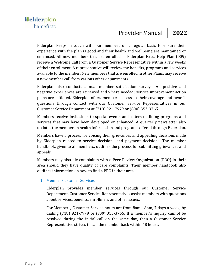Elderplan keeps in touch with our members on a regular basis to ensure their experience with the plan is good and their health and wellbeing are maintained or enhanced. All new members that are enrolled in Elderplan Extra Help Plan (009) receive a Welcome Call from a Customer Service Representative within a few weeks of their enrollment. A representative will review the benefits, programs and services available to the member. New members that are enrolled in other Plans, may receive a new member call from various other departments.

Elderplan also conducts annual member satisfaction surveys. All positive and negative experiences are reviewed and where needed; service improvement action plans are initiated. Elderplan offers members access to their coverage and benefit questions through contact with our Customer Service Representatives in our Customer Service Department at (718) 921-7979 or (800) 353-3765.

Members receive invitations to special events and letters outlining programs and services that may have been developed or enhanced. A quarterly newsletter also updates the member on health information and programs offered through Elderplan.

Members have a process for voicing their grievances and appealing decisions made by Elderplan related to service decisions and payment decisions. The member handbook, given to all members, outlines the process for submitting grievances and appeals.

Members may also file complaints with a Peer Review Organization (PRO) in their area should they have quality of care complaints. Their member handbook also outlines information on how to find a PRO in their area.

#### <span id="page-8-0"></span>1. Member Customer Services

Elderplan provides member services through our Customer Service Department, Customer Service Representatives assist members with questions about services, benefits, enrollment and other issues.

For Members, Customer Service hours are from 8am - 8pm, 7 days a week, by dialing (718) 921-7979 or (800) 353-3765. If a member's inquiry cannot be resolved during the initial call on the same day, then a Customer Service Representative strives to call the member back within 48 hours.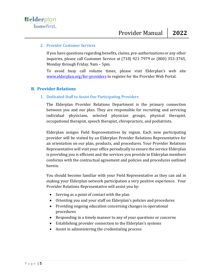#### <span id="page-9-0"></span>2. Provider Customer Services

If you have questions regarding benefits, claims, pre-authorizations or any other inquiries, please call Customer Service at (718) 921-7979 or (800) 353-3765, Monday through Friday, 9am – 5pm.

To avoid busy call volume times, please visit Elderplan's web site [www.elderplan.org/for-providers](http://www.elderplan.org/forproviders) to register for the Provider Web Portal.

#### <span id="page-9-2"></span><span id="page-9-1"></span>**B. Provider Relations**

#### 1. Dedicated Staff to Assist Our Participating Providers

The Elderplan Provider Relations Department is the primary connection between you and our plan. They are responsible for recruiting and servicing individual physicians, selected physician groups, physical therapist, occupational therapist, speech therapist, chiropractors, and podiatrists.

Elderplan assigns Field Representatives by region. Each new participating provider will be visited by an Elderplan Provider Relations Representative for an orientation on our plan, products, and procedures. Your Provider Relations Representative will visit your office periodically to ensure the service Elderplan is providing you is efficient and the services you provide to Elderplan members conforms with the contractual agreement and policies and procedures outlined herein.

You should become familiar with your Field Representative as they can aid in making your Elderplan network participation a very positive experience. Your Provider Relations Representative will assist you by:

- Serving as a point of contact with the plan
- Orienting you and your staff on Elderplan's policies and procedures
- Providing ongoing education concerning changes in operational procedures
- Responding in a timely manner to any of your questions or concerns
- Establishing provider connection to the Elderplan's systems
- Assist in administering the credentialing process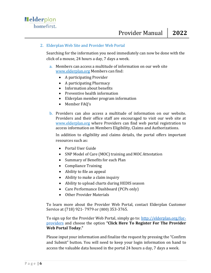#### <span id="page-10-0"></span>2. Elderplan Web Site and Provider Web Portal

Searching for the information you need immediately can now be done with the click of a mouse, 24 hours a day, 7 days a week.

- a. Members can access a multitude of information on our web site [www.elderplan.org](http://www.elderplan.org/) Members can find:
	- A participating Provider
	- A participating Pharmacy
	- Information about benefits
	- Preventive health information
	- Elderplan member program information
	- Member FAQ's
- b. Providers can also access a multitude of information on our website. Providers and their office staff are encouraged to visit our web site at [www.elderplan.org](http://www.elderplan.org/) where Providers can find web portal registration to access information on Members Eligibility, Claims and Authorizations.

In addition to eligibility and claims details, the portal offers important resources such as:

- Portal User Guide
- SNP Model of Care (MOC) training and MOC Attestation
- Summary of Benefits for each Plan
- Compliance Training
- Ability to file an appeal
- Ability to make a claim inquiry
- Ability to upload charts during HEDIS season
- Care Performance Dashboard (PCPs only)
- Other Provider Materials

To learn more about the Provider Web Portal, contact Elderplan Customer Service at (718) 921- 7979 or (800) 353-3765.

To sign up for the Provider Web Portal, simply go to: [http://elderplan.org/for](http://elderplan.org/for-providers/)[providers](http://elderplan.org/for-providers/) and choose the option **"Click Here To Register For The Provider Web Portal Today."**

Please input your information and finalize the request by pressing the "Confirm and Submit" button. You will need to keep your login information on hand to access the valuable data housed in the portal 24 hours a day, 7 days a week.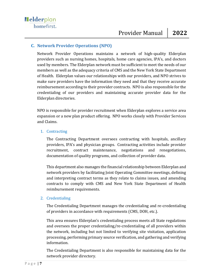#### <span id="page-11-0"></span>**C. Network Provider Operations (NPO)**

Network Provider Operations maintains a network of high-quality Elderplan providers such as nursing homes, hospitals, home care agencies, IPA's, and doctors used by members. The Elderplan network must be sufficient to meet the needs of our members as well as the adequacy criteria of CMS and the New York State Department of Health. Elderplan values our relationships with our providers, and NPO strives to make sure providers have the information they need and that they receive accurate reimbursement according to their provider contracts. NPO is also responsible for the credentialing of our providers and maintaining accurate provider data for the Elderplan directories.

NPO is responsible for provider recruitment when Elderplan explores a service area expansion or a new plan product offering. NPO works closely with Provider Services and Claims.

#### <span id="page-11-1"></span>1. Contracting

The Contracting Department oversees contracting with hospitals, ancillary providers, IPA's and physician groups. Contracting activities include provider recruitment, contract maintenance, negotiations and renegotiations, documentation of quality programs, and collection of provider data.

This department also manages the financial relationship between Elderplan and network providers by facilitating Joint Operating Committee meetings, defining and interpreting contract terms as they relate to claims issues, and amending contracts to comply with CMS and New York State Department of Health reimbursement requirements.

#### <span id="page-11-2"></span>2. Credentialing

The Credentialing Department manages the credentialing and re-credentialing of providers in accordance with requirements (CMS, DOH, etc.).

This area ensures Elderplan's credentialing process meets all State regulations and oversees the proper credentialing/re-credentialing of all providers within the network, including but not limited to verifying site visitation, application processing, performing primary source verification, and gathering and verifying information.

The Credentialing Department is also responsible for maintaining data for the network provider directory.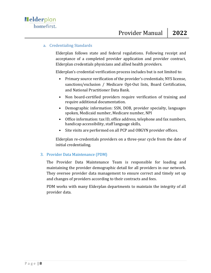#### a. Credentialing Standards

Elderplan follows state and federal regulations. Following receipt and acceptance of a completed provider application and provider contract, Elderplan credentials physicians and allied health providers.

Elderplan's credential verification process includes but is not limited to:

- Primary source verification of the provider's credentials; NYS license, sanctions/exclusion / Medicare Opt-Out lists, Board Certification, and National Practitioner Data Bank.
- Non board-certified providers require verification of training and require additional documentation.
- Demographic information: SSN, DOB, provider specialty, languages spoken, Medicaid number, Medicare number, NPI
- Office information: tax ID, office address, telephone and fax numbers, handicap accessibility, staff language skills,
- Site visits are performed on all PCP and OBGYN provider offices.

Elderplan re-credentials providers on a three-year cycle from the date of initial credentialing.

#### <span id="page-12-0"></span>3. Provider Data Maintenance (PDM)

The Provider Data Maintenance Team is responsible for loading and maintaining the provider demographic detail for all providers in our network. They oversee provider data management to ensure correct and timely set up and changes of providers according to their contracts and fees.

PDM works with many Elderplan departments to maintain the integrity of all provider data.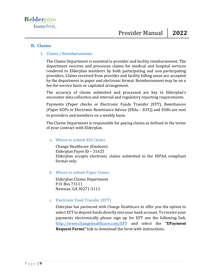#### <span id="page-13-1"></span><span id="page-13-0"></span>**D. Claims**

#### 1. Claims / Reimbursements

The Claims Department is essential to provider and facility reimbursement. The department receives and processes claims for medical and hospital services rendered to Elderplan members by both participating and non-participating providers. Claims received from provider and facility billing areas are accepted by the department in paper and electronic format. Reimbursement may be on a fee-for-service basis or capitated arrangement.

The accuracy of claims submitted and processed are key to Elderplan's encounter data collection and internal and regulatory reporting requirements.

Payments (Paper checks or Electronic Funds Transfer (EFT), Remittances (Paper EOPs or Electronic Remittance Advice (ERAs – 835)) and EOBs are sent to providers and members on a weekly basis.

The Claims Department is responsible for paying claims as defined in the terms of your contract with Elderplan.

#### a. Where to submit EDI Claims

Change Healthcare (Emdeon) Elderplan Payer ID – 31625 Elderplan accepts electronic claims submitted in the HIPAA compliant format only.

b. Where to submit Paper Claims

Elderplan Claims Department P.O. Box 73111 Newnan, GA 30271-3111

#### c. Electronic Fund Transfer (EFT)

Elderplan has partnered with Change Healthcare to offer you the option to select EFT to deposit funds directly into your bank account. To receive your payments electronically please sign up for EFT use the following link, <http://www.changehealthcare.com/EFT> and select the **"EPayment Request Forms"** link to download the form with instructions.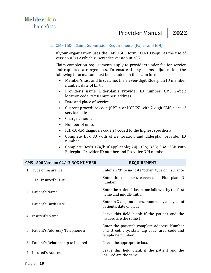#### d. CMS 1500 Claims Submission Requirements (Paper and EDI)

If your organization uses the CMS 1500 form, ICD-10 requires the use of version 02/12 which supersedes version 08/05**.**

Claim completion requirements apply to providers under fee for service and capitated arrangements. To ensure timely claims adjudication, the following information must be included on the claim form:

- Member's last and first name, the eleven-digit Elderplan ID member number, date of birth
- Provider's name, Elderplan's Provider ID number, CMS 2-digit location code, tax ID number, address
- Date and place of service
- Current procedure code (CPT-4 or HCPCS) with 2-digit CMS place of service code
- Charge amount
- Number of units
- ICD-10-CM diagnosis code(s) coded to the highest specificity
- Complete Box 33 with office location and Elderplan provider ID number
- Complete Box's 17a/b if applicable; 24J; 32A; 32B; 33A; 33B with Elderplan Provider ID number and Provider NPI number

| CMS 1500 Version 02/12 BOX NUMBER    | <b>REQUIREMENT</b>                                                                                                   |
|--------------------------------------|----------------------------------------------------------------------------------------------------------------------|
| 1. Type of Insurance                 | Enter an "X" to indicate "other" type of insurance                                                                   |
| 1a. Insured's ID $#$                 | Enter the member's eleven-digit Elderplan ID<br>number                                                               |
| 2. Patient's Name                    | Enter the patient's last name followed by the first<br>name and middle initial                                       |
| 3. Patient's Birth Date              | Enter in 2-digit numbers, month, day and year of<br>patient's date of birth                                          |
| 4. Insured's Name                    | Leave this field blank if the patient and the<br>insured are the same l                                              |
| 5. Patient's Address/Telephone #     | Enter the patient's complete address. Number<br>and street, city, state, zip code, area code and<br>telephone number |
| 6. Patient's Relationship to Insured | Check the appropriate box.                                                                                           |
| 7. Insured's Address                 | Leave this field blank if the patient and the<br>insured are the same                                                |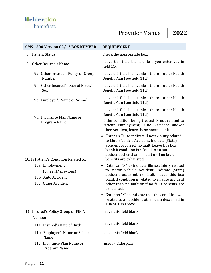| CMS 1500 Version 02/12 BOX NUMBER                                                  | <b>REQUIREMENT</b>                                                                                                                                                                                                                                                    |  |
|------------------------------------------------------------------------------------|-----------------------------------------------------------------------------------------------------------------------------------------------------------------------------------------------------------------------------------------------------------------------|--|
| 8. Patient Status                                                                  | Check the appropriate box.                                                                                                                                                                                                                                            |  |
| 9. Other Insured's Name                                                            | Leave this field blank unless you enter yes in<br>field 11d                                                                                                                                                                                                           |  |
| 9a. Other Insured's Policy or Group<br>Number                                      | Leave this field blank unless there is other Health<br>Benefit Plan (see field 11d)                                                                                                                                                                                   |  |
| 9b. Other Insured's Date of Birth/<br>Sex                                          | Leave this field blank unless there is other Health<br>Benefit Plan (see field 11d)                                                                                                                                                                                   |  |
| 9c. Employer's Name or School                                                      | Leave this field blank unless there is other Health<br>Benefit Plan (see field 11d)                                                                                                                                                                                   |  |
| 9d. Insurance Plan Name or                                                         | Leave this field blank unless there is other Health<br>Benefit Plan (see field 11d)                                                                                                                                                                                   |  |
| Program Name                                                                       | If the condition being treated is not related to<br>Patient Employment, Auto Accident and/or<br>other Accident, leave these boxes blank                                                                                                                               |  |
| 10. Is Patient's Condition Related to:                                             | • Enter an "X" to indicate illness/injury related<br>to Motor Vehicle Accident. Indicate (State)<br>accident occurred, no fault. Leave this box<br>blank if condition is related to an auto<br>accident other than no fault or if no fault<br>benefits are exhausted. |  |
| 10a. Employment<br>(current/previous)<br>10b. Auto Accident<br>10c. Other Accident | • Enter an "X" to indicate illness/injury related<br>to Motor Vehicle Accident. Indicate (State)<br>accident occurred, no fault. Leave this box<br>blank if condition is related to an auto accident<br>other than no fault or if no fault benefits are<br>exhausted. |  |
|                                                                                    | • Enter an "X" to indicate that the condition was<br>related to an accident other than described in<br>10a or 10b above.                                                                                                                                              |  |
| 11. Insured's Policy Group or FECA                                                 | Leave this field blank                                                                                                                                                                                                                                                |  |
| Number                                                                             |                                                                                                                                                                                                                                                                       |  |
| 11a. Insured's Date of Birth                                                       | Leave this field blank                                                                                                                                                                                                                                                |  |
| 11b. Employer's Name or School<br>Name                                             | Leave this field blank                                                                                                                                                                                                                                                |  |
| 11c. Insurance Plan Name or<br>Program Name                                        | Insert - Elderplan                                                                                                                                                                                                                                                    |  |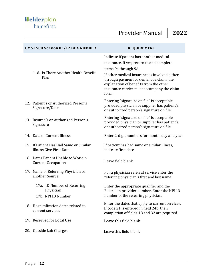| CMS 1500 Version 02/12 BOX NUMBER                                        | <b>REQUIREMENT</b>                                                                                                                                                                                                                                                                                          |
|--------------------------------------------------------------------------|-------------------------------------------------------------------------------------------------------------------------------------------------------------------------------------------------------------------------------------------------------------------------------------------------------------|
| 11d. Is There Another Health Benefit<br>Plan                             | Indicate if patient has another medical<br>insurance. If yes, return to and complete<br>items 9a through 9d.<br>If other medical insurance is involved either<br>through payment or denial of a claim, the<br>explanation of benefits from the other<br>insurance carrier must accompany the claim<br>form. |
| 12. Patient's or Authorized Person's<br>Signature/Date                   | Entering "signature on file" is acceptable<br>provided physician or supplier has patient's<br>or authorized person's signature on file.                                                                                                                                                                     |
| 13. Insured's or Authorized Person's<br>Signature                        | Entering "signature on file" is acceptable<br>provided physician or supplier has patient's<br>or authorized person's signature on file.                                                                                                                                                                     |
| 14. Date of Current Illness                                              | Enter 2-digit numbers for month, day and year                                                                                                                                                                                                                                                               |
| 15. If Patient Has Had Same or Similar<br><b>Illness Give First Date</b> | If patient has had same or similar illness,<br>indicate first date                                                                                                                                                                                                                                          |
| 16. Dates Patient Unable to Work in<br><b>Current Occupation</b>         | Leave field blank                                                                                                                                                                                                                                                                                           |
| 17. Name of Referring Physician or<br>another Source                     | For a physician referral service enter the<br>referring physician's first and last name.                                                                                                                                                                                                                    |
| 17a. ID Number of Referring<br>Physician<br>17b. NPI ID Number           | Enter the appropriate qualifier and the<br>Elderplan provider number. Enter the NPI ID<br>number of the referring physician.                                                                                                                                                                                |
| 18. Hospitalization dates related to<br>current services                 | Enter the dates that apply to current services.<br>If code 21 is entered in field 24b, then<br>completion of fields 18 and 32 are required                                                                                                                                                                  |
| 19. Reserved for Local Use                                               | Leave this field blank                                                                                                                                                                                                                                                                                      |
| 20. Outside Lab Charges                                                  | Leave this field blank                                                                                                                                                                                                                                                                                      |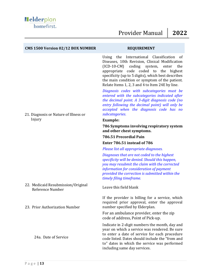| CMS 1500 Version 02/12 BOX NUMBER                      | <b>REQUIREMENT</b>                                                                                                                                                                                                                                                                                                                                                                                                                                                                                                                                                                                                                  |
|--------------------------------------------------------|-------------------------------------------------------------------------------------------------------------------------------------------------------------------------------------------------------------------------------------------------------------------------------------------------------------------------------------------------------------------------------------------------------------------------------------------------------------------------------------------------------------------------------------------------------------------------------------------------------------------------------------|
| 21. Diagnosis or Nature of Illness or                  | Using the<br>International Classification<br>of<br>Diseases, 10th Revision, Clinical Modification<br>$(ICD-10-CM)$<br>coding<br>system,<br>the<br>enter<br>appropriate code coded to<br>the<br>highest<br>specificity (up to 5 digits), which best describes<br>the main condition or symptom of the patient.<br>Relate Items 1, 2, 3 and 4 to Item 24E by line.<br>Diagnosis codes with subcategories must be<br>entered with the subcategories indicated after<br>the decimal point. A 3-digit diagnosis code (no<br>entry following the decimal point) will only be<br>accepted when the diagnosis code has no<br>subcategories. |
| Injury                                                 | <b>Example:</b>                                                                                                                                                                                                                                                                                                                                                                                                                                                                                                                                                                                                                     |
|                                                        | 786 Symptoms involving respiratory system<br>and other chest symptoms.                                                                                                                                                                                                                                                                                                                                                                                                                                                                                                                                                              |
|                                                        | 786.51 Precordial Pain                                                                                                                                                                                                                                                                                                                                                                                                                                                                                                                                                                                                              |
|                                                        | Enter 786.51 instead of 786                                                                                                                                                                                                                                                                                                                                                                                                                                                                                                                                                                                                         |
|                                                        | Please list all appropriate diagnoses.                                                                                                                                                                                                                                                                                                                                                                                                                                                                                                                                                                                              |
|                                                        | Diagnoses that are not coded to the highest<br>specificity will be denied. Should this happen,<br>you may resubmit the claim with the corrected<br>information for consideration of payment<br>provided the correction is submitted within the<br>timely filing timeframe.                                                                                                                                                                                                                                                                                                                                                          |
| 22. Medicaid Resubmission/Original<br>Reference Number | Leave this field blank                                                                                                                                                                                                                                                                                                                                                                                                                                                                                                                                                                                                              |
| 23. Prior Authorization Number                         | If the provider is billing for a service, which<br>required prior approval, enter the approval<br>number specified by Elderplan.                                                                                                                                                                                                                                                                                                                                                                                                                                                                                                    |
|                                                        | For an ambulance provider, enter the zip<br>code of address, Point of Pick-up.                                                                                                                                                                                                                                                                                                                                                                                                                                                                                                                                                      |
| 24a. Date of Service                                   | Indicate in 2-digit numbers the month, day and<br>year on which a service was rendered. Be sure<br>to enter a date of service for each procedure<br>code listed. Dates should include the "from and<br>to" dates in which the service was performed<br>including same day services.                                                                                                                                                                                                                                                                                                                                                 |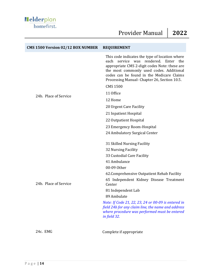| <b>CMS 1500 Version 02/12 BOX NUMBER</b> | <b>REQUIREMENT</b>                                                                                                                                                                                                                                                                 |
|------------------------------------------|------------------------------------------------------------------------------------------------------------------------------------------------------------------------------------------------------------------------------------------------------------------------------------|
|                                          | This code indicates the type of location where<br>service was rendered. Enter the<br>each<br>appropriate CMS 2-digit codes Note: these are<br>the most commonly used codes. Additional<br>codes can be found in the Medicare Claims<br>Processing Manual-Chapter 26, Section 10.5. |
|                                          | <b>CMS 1500</b>                                                                                                                                                                                                                                                                    |
| 24b. Place of Service                    | 11 Office                                                                                                                                                                                                                                                                          |
|                                          | 12 Home                                                                                                                                                                                                                                                                            |
|                                          | 20 Urgent Care Facility                                                                                                                                                                                                                                                            |
|                                          | 21 Inpatient Hospital                                                                                                                                                                                                                                                              |
|                                          | 22 Outpatient Hospital                                                                                                                                                                                                                                                             |
|                                          | 23 Emergency Room-Hospital                                                                                                                                                                                                                                                         |
|                                          | 24 Ambulatory Surgical Center                                                                                                                                                                                                                                                      |
|                                          | 31 Skilled Nursing Facility                                                                                                                                                                                                                                                        |
|                                          | 32 Nursing Facility                                                                                                                                                                                                                                                                |
|                                          | 33 Custodial Care Facility                                                                                                                                                                                                                                                         |
|                                          | 41 Ambulance                                                                                                                                                                                                                                                                       |
|                                          | 00-09 Other                                                                                                                                                                                                                                                                        |
|                                          | 62. Comprehensive Outpatient Rehab Facility                                                                                                                                                                                                                                        |
| 24b. Place of Service                    | 65 Independent Kidney Disease Treatment<br>Center                                                                                                                                                                                                                                  |
|                                          | 81 Independent Lab                                                                                                                                                                                                                                                                 |
|                                          | 89 Ambulate                                                                                                                                                                                                                                                                        |
|                                          | Note: If Code 21, 22, 23, 24 or 00-09 is entered in<br>field 24b for any claim line, the name and address<br>where procedure was performed must be entered<br>in field 32.                                                                                                         |
| 24c. EMG                                 | Complete if appropriate                                                                                                                                                                                                                                                            |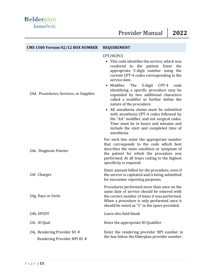| <b>CMS 1500 Version 02/12 BOX NUMBER</b>                      | <b>REQUIREMENT</b>                                                                                                                                                                                                                                                                                                                                                                                                                                                                                                                                                                                                                                  |  |
|---------------------------------------------------------------|-----------------------------------------------------------------------------------------------------------------------------------------------------------------------------------------------------------------------------------------------------------------------------------------------------------------------------------------------------------------------------------------------------------------------------------------------------------------------------------------------------------------------------------------------------------------------------------------------------------------------------------------------------|--|
| 24d. Procedures, Services, or Supplies                        | CPT/HCPCS<br>• This code identifies the service, which was<br>rendered to the patient. Enter the<br>appropriate 5-digit number using the<br>current CPT-4 codes corresponding to the<br>service date.<br>Modifier<br>The<br>5-digit CPT-4<br>code<br>identifying a specific procedure may be<br>expanded by two additional characters<br>called a modifier to further define the<br>nature of the procedure.<br>All anesthesia claims must be submitted<br>with anesthesia CPT-4 codes followed by<br>the "AA" modifier, and not surgical codes.<br>Time must be in hours and minutes and<br>include the start and completed time of<br>anesthesia. |  |
| 24e. Diagnosis Pointer                                        | For each line enter the appropriate number<br>that corresponds to the code which best<br>describes the main condition or symptom of<br>the patient for which the procedure was<br>performed. At all times coding to the highest<br>specificity is required.                                                                                                                                                                                                                                                                                                                                                                                         |  |
| 24f. Charges                                                  | Enter amount billed for the procedure, even if<br>the service is capitated and is being submitted<br>for encounter reporting purposes.                                                                                                                                                                                                                                                                                                                                                                                                                                                                                                              |  |
| 24g. Days or Units                                            | Procedures performed more than once on the<br>same date of service should be entered with<br>the correct number of times it was performed.<br>When a procedure is only performed once it<br>should be noted as "1" in the space provided.                                                                                                                                                                                                                                                                                                                                                                                                           |  |
| 24h. EPSDT                                                    | Leave this field blank                                                                                                                                                                                                                                                                                                                                                                                                                                                                                                                                                                                                                              |  |
| 24i. ID Qual                                                  | Enter the appropriate ID Qualifier                                                                                                                                                                                                                                                                                                                                                                                                                                                                                                                                                                                                                  |  |
| 24j. Rendering Provider ID. #<br>Rendering Provider NPI ID. # | Enter the rendering provider NPI number in<br>the box below the Elderplan provider number.                                                                                                                                                                                                                                                                                                                                                                                                                                                                                                                                                          |  |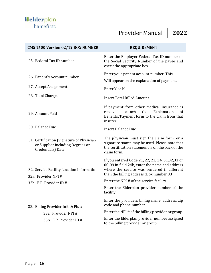| CMS 1500 Version 02/12 BOX NUMBER                                                                  | <b>REQUIREMENT</b>                                                                                                                                                                             |
|----------------------------------------------------------------------------------------------------|------------------------------------------------------------------------------------------------------------------------------------------------------------------------------------------------|
| 25. Federal Tax ID number                                                                          | Enter the Employer Federal Tax ID number or<br>the Social Security Number of the payee and<br>check the appropriate box.                                                                       |
| 26. Patient's Account number                                                                       | Enter your patient account number. This<br>Will appear on the explanation of payment.                                                                                                          |
| 27. Accept Assignment                                                                              | Enter Y or N                                                                                                                                                                                   |
| 28. Total Charges                                                                                  | <b>Insert Total Billed Amount</b>                                                                                                                                                              |
| 29. Amount Paid                                                                                    | If payment from other medical insurance is<br>attach<br>received,<br>the<br>Explanation<br>οf<br>Benefits/Payment form to the claim from that<br>insurer.                                      |
| 30. Balance Due                                                                                    | <b>Insert Balance Due</b>                                                                                                                                                                      |
| 31. Certification (Signature of Physician<br>or Supplier including Degrees or<br>Credentials) Date | The physician must sign the claim form, or a<br>signature stamp may be used. Please note that<br>the certification statement is on the back of the<br>claim form.                              |
| 32. Service Facility Location Information<br>32a. Provider NPI #                                   | If you entered Code 21, 22, 23, 24, 31, 32, 33 or<br>00-09 in field 24b, enter the name and address<br>where the service was rendered if different<br>than the billing address (Box number 33) |
| 32b. E.P. Provider ID #                                                                            | Enter the NPI # of the service facility.                                                                                                                                                       |
|                                                                                                    | Enter the Elderplan provider number of the<br>facility.                                                                                                                                        |
| 33. Billing Provider Info & Ph. #                                                                  | Enter the providers billing name, address, zip<br>code and phone number.                                                                                                                       |
| 33a. Provider NPI #                                                                                | Enter the NPI # of the billing provider or group.                                                                                                                                              |
| 33b. E.P. Provider ID #                                                                            | Enter the Elderplan provider number assigned<br>to the billing provider or group.                                                                                                              |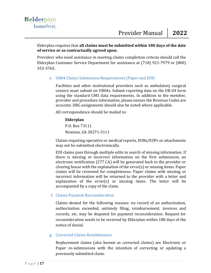Providers who need assistance in meeting claims completion criteria should call the Elderplan Customer Service Department for assistance at (718) 921-7979 or (800) 353-3765.

e. UB04 Claims Submission Requirements (Paper and EDI)

Facilities and other institutional providers such as ambulatory surgical centers must submit on UB04s. Submit reporting data on the UB-04 form using the standard CMS data requirements. In addition to the member, provider and procedure information, please ensure the Revenue Codes are accurate. DRG assignments should also be noted where applicable.

All correspondence should be mailed to:

#### **Elderplan**

P.O. Box 73111 Newnan, GA 30271-3111

Claims requiring operative or medical reports, EOBs/EOPs or attachments may not be submitted electronically.

EDI claims pass through multiple edits in search of missing information. If there is missing or incorrect information on the first submission, an electronic notification (277 CA) will be generated back to the provider or clearing house with the explanation of the error(s) or missing items. Paper claims will be reviewed for completeness. Paper claims with missing or incorrect information will be returned to the provider with a letter and explanation of the error(s) or missing items. The letter will be accompanied by a copy of the claim.

#### f. Claims Payment Reconsideration

Claims denied for the following reasons: no record of an authorization, authorization exceeded, untimely filing, reimbursement, invoices and records, etc. may be disputed for payment reconsideration. Request for reconsideration needs to be received by Elderplan within 180 days of the notice of denial.

#### g. Corrected Claims Resubmission

Replacement claims (also known as corrected claims) are Electronic or Paper re-submissions with the intention of correcting or updating a previously submitted claim.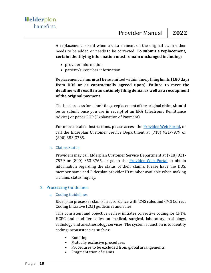A replacement is sent when a data element on the original claim either needs to be added or needs to be corrected. **To submit a replacement, certain identifying information must remain unchanged including:** 

- provider information
- patient/subscriber information

Replacement claims **must be** submitted within timely filing limits **(180 days from DOS or as contractually agreed upon)**. **Failure to meet the deadline will result in an untimely filing denial as well as a recoupment of the original payment.** 

The best process for submitting a replacement of the original claim, **should** be to submit once you are in receipt of an ERA (Electronic Remittance Advice) or paper EOP (Explanation of Payment).

For more detailed instructions, please access the [Provider Web Portal](https://secure.healthx.com/v3app/publicservice/loginv1/login.aspx?bc=e88f13cf-189d-420a-94a9-90e74b80456e&serviceid=27ea5d43-5bd7-4e5b-adec-69f56032b5f0)**,** or call the Elderplan Customer Service Department at (718) 921-7979 or (800) 353-3765.

#### h. Claims Status

Providers may call Elderplan Customer Service Department at (718) 921- 7979 or (800) 353-3765, or go to the **[Provider Web Portal](https://secure.healthx.com/v3app/publicservice/loginv1/login.aspx?bc=e88f13cf-189d-420a-94a9-90e74b80456e&serviceid=27ea5d43-5bd7-4e5b-adec-69f56032b5f0)** to obtain information regarding the status of their claims. Please have the DOS, member name and Elderplan provider ID number available when making a claims status inquiry.

#### <span id="page-22-0"></span>2. Processing Guidelines

#### a. Coding Guidelines

Elderplan processes claims in accordance with CMS rules and CMS Correct Coding Initiative (CCI) guidelines and rules.

This consistent and objective review initiates corrective coding for CPT4, HCPC and modifier codes on medical, surgical, laboratory, pathology, radiology and anesthesiology services. The system's function is to identify coding inconsistencies such as:

- Bundling
- Mutually exclusive procedures
- Procedures to be excluded from global arrangements
- Fragmentation of claims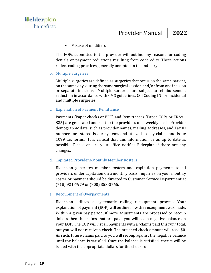#### • Misuse of modifiers

The EOPs submitted to the provider will outline any reasons for coding denials or payment reductions resulting from code edits. These actions reflect coding practices generally accepted in the industry.

#### b. Multiple Surgeries

Multiple surgeries are defined as surgeries that occur on the same patient, on the same day, during the same surgical session and/or from one incision or separate incisions. Multiple surgeries are subject to reimbursement reduction in accordance with CMS guidelines, CCI Coding IN for incidental and multiple surgeries.

#### c. Explanation of Payment Remittance

Payments (Paper checks or EFT) and Remittances (Paper EOPs or ERAs – 835) are generated and sent to the providers on a weekly basis. Provider demographic data, such as provider names, mailing addresses, and Tax ID numbers are stored is our systems and utilized to pay claims and issue 1099 tax forms. It is critical that this information be as up to date as possible. Please ensure your office notifies Elderplan if there are any changes.

#### d. Capitated Providers-Monthly Member Rosters

Elderplan generates member rosters and capitation payments to all providers under capitation on a monthly basis. Inquiries on your monthly roster or payment should be directed to Customer Service Department at (718) 921-7979 or (800) 353-3765.

#### e. Recoupment of Overpayments

Elderplan utilizes a systematic rolling recoupment process. Your explanation of payment (EOP) will outline how the recoupment was made. Within a given pay period, if more adjustments are processed to recoup dollars then the claims that are paid, you will see a negative balance on your EOP. The EOP will list all payments with a "claims paid this run" total, but you will not receive a check. The attached check amount will read \$0. As such, future claims paid to you will recoup against the negative balance until the balance is satisfied. Once the balance is satisfied, checks will be issued with the appropriate dollars for the check run.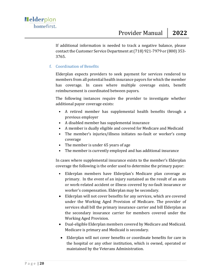If additional information is needed to track a negative balance, please contact the Customer Service Department at (718) 921-7979 or (800) 353- 3765.

#### f. Coordination of Benefits

Elderplan expects providers to seek payment for services rendered to members from all potential health insurance payors for which the member has coverage. In cases where multiple coverage exists, benefit reimbursement is coordinated between payors.

The following instances require the provider to investigate whether additional payor coverage exists:

- A retired member has supplemental health benefits through a previous employer
- A disabled member has supplemental insurance
- A member is dually eligible and covered for Medicare and Medicaid
- The member's injuries/illness initiates no-fault or worker's comp coverage
- The member is under 65 years of age
- The member is currently employed and has additional insurance

In cases where supplemental insurance exists to the member's Elderplan coverage the following is the order used to determine the primary payor:

- Elderplan members have Elderplan's Medicare plan coverage as primary. In the event of an injury sustained as the result of an auto or work-related accident or illness covered by no-fault insurance or worker's compensation. Elderplan may be secondary.
- Elderplan will not cover benefits for any services, which are covered under the Working Aged Provision of Medicare. The provider of services shall bill the primary insurance carrier and bill Elderplan as the secondary insurance carrier for members covered under the Working Aged Provision.
- Dual-eligible Elderplan members covered by Medicare and Medicaid. Medicare is primary and Medicaid is secondary.
- Elderplan will not cover benefits or coordinate benefits for care in the hospital or any other institution, which is owned, operated or maintained by the Veterans Administration.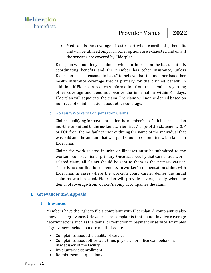• Medicaid is the coverage of last resort when coordinating benefits and will be utilized only if all other options are exhausted and only if the services are covered by Elderplan.

Elderplan will not deny a claim, in whole or in part, on the basis that it is coordinating benefits and the member has other insurance, unless Elderplan has a "reasonable basis" to believe that the member has other health insurance coverage that is primary for the claimed benefit. In addition, if Elderplan requests information from the member regarding other coverage and does not receive the information within 45 days; Elderplan will adjudicate the claim. The claim will not be denied based on non-receipt of information about other coverage.

#### g. No Fault/Worker's Compensation Claims

Claims qualifying for payment under the member's no-fault insurance plan must be submitted to the no-fault carrier first. A copy of the statement, EOP or EOB from the no-fault carrier outlining the name of the individual that was paid and the amount that was paid should be submitted with claims to Elderplan.

Claims for work-related injuries or illnesses must be submitted to the worker's comp carrier as primary. Once accepted by that carrier as a workrelated claim, all claims should be sent to them as the primary carrier. There is no coordination of benefits on worker's compensation claims with Elderplan. In cases where the worker's comp carrier denies the initial claim as work related, Elderplan will provide coverage only when the denial of coverage from worker's comp accompanies the claim.

#### <span id="page-25-1"></span><span id="page-25-0"></span>**E. Grievances and Appeals**

#### 1. Grievances

Members have the right to file a complaint with Elderplan. A complaint is also known as a grievance. Grievances are complaints that do not involve coverage determinations such as the denial or reduction in payment or service. Examples of grievances include but are not limited to:

- Complaints about the quality of service
- Complaints about office wait time, physician or office staff behavior, inadequacy of the facility
- Involuntary disenrollment
- Reimbursement questions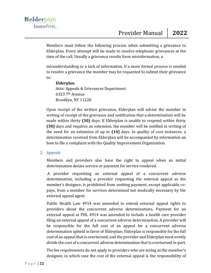Members must follow the following process when submitting a grievance to Elderplan. Every attempt will be made to resolve telephonic grievances at the time of the call. Usually a grievance results from misinformation, a

misunderstanding or a lack of information. If a more formal process is needed to resolve a grievance the member may be requested to submit their grievance to:

#### **Elderplan**  Attn: Appeals & Grievances Department 6323 7th Avenue Brooklyn, NY 11220

Upon receipt of the written grievance, Elderplan will advise the member in writing of receipt of the grievance and notification that a determination will be made within thirty **(30)** days. If Elderplan is unable to respond within thirty **(30)** days and requires an extension, the member will be notified in writing of the need for an extension of up to **(14)** days. In quality of care instances, a determination received from Elderplan will be accompanied by information on how to file a complaint with the Quality Improvement Organization.

#### <span id="page-26-0"></span>2. Appeals

Members and providers also have the right to appeal when an initial determination denies service or payment for service rendered.

A provider requesting an external appeal of a concurrent adverse determination, including a provider requesting the external appeal as the member's designee, is prohibited from seeking payment, except applicable copays, from a member for services determined not medically necessary by the external appeal agent.

Public Health Law 4914 was amended to extend external appeal rights to providers about the concurrent adverse determinations. Payment for an external appeal at PHL 4914 was amended to include a health care provider filing an external appeal of a concurrent adverse determination. A provider will be responsible for the full cost of an appeal for a concurrent adverse determination upheld in favor of Elderplan; Elderplan is responsible for the full cost of an appeal that is overturned; and the provider and Elderplan must evenly divide the cost of a concurrent adverse determination that is overturned in-part.

The fee requirements do not apply to providers who are acting as the member's designee, in which case the cost of the external appeal is the responsibility of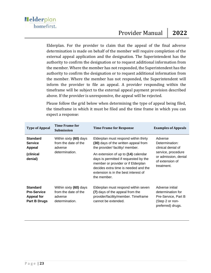### Provider Manual **2022**

Elderplan. For the provider to claim that the appeal of the final adverse determination is made on behalf of the member will require completion of the external appeal application and the designation. The Superintendent has the authority to confirm the designation or to request additional information from the member. Where the member has not responded, the Superintendent has the authority to confirm the designation or to request additional information from the member. Where the member has not responded, the Superintendent will inform the provider to file an appeal. A provider responding within the timeframe will be subject to the external appeal payment provision described above. If the provider is unresponsive, the appeal will be rejected.

Please follow the grid below when determining the type of appeal being filed, the timeframe in which it must be filed and the time frame in which you can expect a response:

| <b>Type of Appeal</b>                                                      | Time Frame for<br><b>Submission</b>                                         | <b>Time Frame for Response</b>                                                                                                                                                                                                                                                                                                       | <b>Examples of Appeals</b>                                                                                                     |
|----------------------------------------------------------------------------|-----------------------------------------------------------------------------|--------------------------------------------------------------------------------------------------------------------------------------------------------------------------------------------------------------------------------------------------------------------------------------------------------------------------------------|--------------------------------------------------------------------------------------------------------------------------------|
| <b>Standard</b><br><b>Service</b><br>Appeal<br>(clinical<br>denial)        | Within sixty (60) days<br>from the date of the<br>adverse<br>determination. | Elderplan must respond within thirty<br>(30) days of the written appeal from<br>the provider/ facility/ member.<br>An extension of up to (14) calendar<br>days is permitted if requested by the<br>member or provider or if Elderplan<br>decides extra time is needed and the<br>extension is in the best interest of<br>the member. | Adverse<br>Determination:<br>clinical denial of<br>service, procedure<br>or admission, denial<br>of extension of<br>treatment. |
| <b>Standard</b><br><b>Pre-Service</b><br><b>Appeal for</b><br>Part B Drugs | Within sixty (60) days<br>from the date of the<br>adverse<br>determination. | Elderplan must respond within seven<br>(7) days of the appeal from the<br>provider/facility/member. Timeframe<br>cannot be extended.                                                                                                                                                                                                 | Adverse initial<br>determination for<br>Pre-Service, Part B<br>(Step 2 or non-<br>preferred) drugs.                            |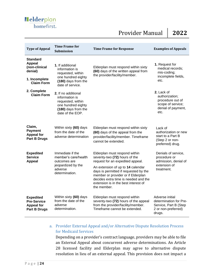### Provider Manual **2022**

| <b>Type of Appeal</b>                                                                              | <b>Time Frame for</b><br><b>Submission</b>                                                                                      | <b>Time Frame for Response</b>                                                                                                                                                                                                                                                                                        | <b>Examples of Appeals</b>                                                                          |
|----------------------------------------------------------------------------------------------------|---------------------------------------------------------------------------------------------------------------------------------|-----------------------------------------------------------------------------------------------------------------------------------------------------------------------------------------------------------------------------------------------------------------------------------------------------------------------|-----------------------------------------------------------------------------------------------------|
| <b>Standard</b><br><b>Appeal</b><br>(non-clinical<br>denial)<br>1. Incomplete<br><b>Claim Form</b> | <b>1.</b> If additional<br>information is<br>requested, within<br>one hundred eighty<br>(180) days from the<br>date of service. | Elderplan must respond within sixty<br>(60) days of the written appeal from<br>the provider/facility/member.                                                                                                                                                                                                          | 1. Request for<br>medical records;<br>mis-coding;<br>incomplete fields,<br>etc.                     |
| 2. Complete<br><b>Claim Form</b>                                                                   | 2. If no additional<br>information is<br>requested, within<br>one hundred eighty<br>(180) days from the<br>date of the EOP.     |                                                                                                                                                                                                                                                                                                                       | 2. Lack of<br>authorization;<br>procedure out of<br>scope of service;<br>denial of payment,<br>etc. |
| Claim,<br><b>Payment</b><br><b>Appeal for</b><br><b>Part B Drugs</b>                               | Within sixty (60) days<br>from the date of the<br>adverse determination                                                         | Elderplan must respond within sixty<br>(60) days of the appeal from the<br>provider/facility/member. Timeframe<br>cannot be extended.                                                                                                                                                                                 | Lack of<br>authorization or new<br>start to a Part B<br>(Step 2 or non-<br>preferred) drug.         |
| <b>Expedited</b><br><b>Service</b><br><b>Appeal</b>                                                | Immediate if the<br>member's care/health<br>outcomes are<br>jeopardized by the<br>adverse<br>determination.                     | Elderplan must respond within<br>seventy-two (72) hours of the<br>request for an expedited appeal.<br>An extension of up to 14 calendar<br>days is permitted if requested by the<br>member or provider or if Elderplan<br>decides extra time is needed and the<br>extension is in the best interest of<br>the member. | Denials of service,<br>procedure or<br>admission, denial of<br>extension of<br>treatment.           |
| <b>Expedited</b><br><b>Pre-Service</b><br><b>Appeal for</b><br><b>Part B Drugs</b>                 | Within sixty (60) days<br>from the date of the<br>adverse<br>determination.                                                     | Elderplan must respond within<br>seventy-two (72) hours of the appeal<br>from the provider/facility/member.<br>Timeframe cannot be extended.                                                                                                                                                                          | Adverse initial<br>determination for Pre-<br>Service, Part B (Step<br>2 or non-preferred)<br>drugs. |

#### a. Provider External Appeal and/or Alternative Dispute Resolution Process for Medicaid Services

Depending on a provider's contract language, providers may be able to file an External Appeal about concurrent adverse determinations. An Article 28 licensed facility and Elderplan may agree to alternative dispute resolution in lieu of an external appeal. This provision does not impact a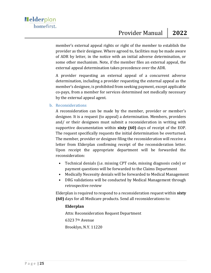member's external appeal rights or right of the member to establish the provider as their designee. Where agreed to, facilities may be made aware of ADR by letter, in the notice with an initial adverse determination, or some other mechanism. Note, if the member files an external appeal, the external appeal determination takes precedence over the ADR.

A provider requesting an external appeal of a concurrent adverse determination, including a provider requesting the external appeal as the member's designee, is prohibited from seeking payment, except applicable co-pays, from a member for services determined not medically necessary by the external appeal agent.

#### b. Reconsiderations

A reconsideration can be made by the member, provider or member's designee. It is a request (to appeal) a determination. Members, providers and/ or their designees must submit a reconsideration in writing with supportive documentation within **sixty (60)** days of receipt of the EOP. The request specifically requests the initial determination be overturned. The member, provider or designee filing the reconsideration will receive a letter from Elderplan confirming receipt of the reconsideration letter. Upon receipt the appropriate department will be forwarded the reconsideration:

- Technical denials (i.e. missing CPT code, missing diagnosis code) or payment questions will be forwarded to the Claims Department
- Medically Necessity denials will be forwarded to Medical Management
- DRG validations will be conducted by Medical Management through retrospective review

Elderplan is required to respond to a reconsideration request within **sixty (60)** days for all Medicare products. Send all reconsiderations to:

#### **Elderplan**

Attn: Reconsideration Request Department 6323 7th Avenue Brooklyn, N.Y. 11220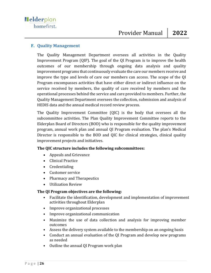#### <span id="page-30-0"></span>**F. Quality Management**

The Quality Management Department oversees all activities in the Quality Improvement Program (QIP). The goal of the QI Program is to improve the health outcomes of our membership through ongoing data analysis and quality improvement programs that continuously evaluate the care our members receive and improve the type and levels of care our members can access. The scope of the QI Program encompasses activities that have either direct or indirect influence on the service received by members, the quality of care received by members and the operational processes behind the service and care provided to members. Further, the Quality Management Department oversees the collection, submission and analysis of HEDIS data and the annual medical record review process.

The Quality Improvement Committee (QIC) is the body that oversees all the subcommittee activities. The Plan Quality Improvement Committee reports to the Elderplan Board of Directors (BOD) who is responsible for the quality improvement program, annual work plan and annual QI Program evaluation. The plan's Medical Director is responsible to the BOD and QIC for clinical strategies, clinical quality improvement projects and initiatives.

#### **The QIC structure includes the following subcommittees:**

- Appeals and Grievance
- Clinical Practice
- Credentialing
- Customer service
- Pharmacy and Therapeutics
- Utilization Review

#### **The QI Program objectives are the following:**

- Facilitate the identification, development and implementation of improvement activities throughout Elderplan
- Improve organizational processes
- Improve organizational communication
- Maximize the use of data collection and analysis for improving member outcomes
- Assess the delivery system available to the membership on an ongoing basis
- Conduct an annual evaluation of the QI Program and develop new programs as needed
- Outline the annual QI Program work plan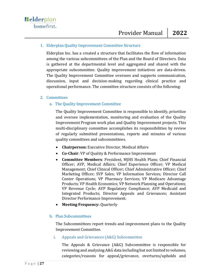#### <span id="page-31-0"></span>1. Elderplan Quality Improvement Committee Structure

Elderplan Inc. has a created a structure that facilitates the flow of information among the various subcommittees of the Plan and the Board of Directors. Data is gathered at the departmental level and aggregated and shared with the appropriate subcommittee. Quality improvement initiatives are data-driven. The Quality Improvement Committee oversees and supports communication, discussion, input and decision-making regarding clinical practice and operational performance. The committee structure consists of the following:

#### <span id="page-31-2"></span><span id="page-31-1"></span>2. Committees

#### a. The Quality Improvement Committee

The Quality Improvement Committee is responsible to identify, prioritize and oversee implementation, monitoring and evaluation of the Quality Improvement Program work plan and Quality Improvement projects. This multi-disciplinary committee accomplishes its responsibilities by review of regularly submitted presentations, reports and minutes of various quality committees and subcommittees.

- **Chairperson:** Executive Director, Medical Affairs
- **Co-Chair**: VP of Quality & Performance Improvement
- **Committee Members**: President, MJHS Health Plans; Chief Financial Officer; AVP, Medical Affairs; Chief Experience Officer; VP Medical Management; Chief Clinical Officer; Chief Administrative Officer; Chief Marketing Officer; SVP Sales; VP Information Services; Director Call Center Operations; VP Pharmacy Services; VP Medicare Advantage Products; VP Health Economics; VP Network Planning and Operations; VP Revenue Cycle; AVP Regulatory Compliance; AVP Medicaid and Integrated Products; Director Appeals and Grievances; Assistant Director Performance Improvement.
- **Meeting Frequency:** Quarterly

#### <span id="page-31-3"></span>b. Plan Subcommittees

The Subcommittees report trends and improvement plans to the Quality Improvement Committee.

#### i. Appeals and Grievances (A&G) Subcommittee

The Appeals & Grievance (A&G) Subcommittee is responsible for reviewing and analyzing A&G data including but not limited to volumes, categories/reasons for appeal/grievance, overturns/upholds and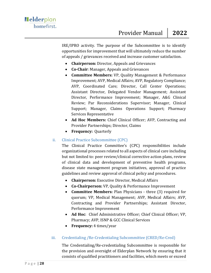IRE/IPRO activity. The purpose of the Subcommittee is to identify opportunities for improvement that will ultimately reduce the number of appeals / grievances received and increase customer satisfaction.

- **Chairperson:** Director, Appeals and Grievances
- **Co-Chair**: Manager, Appeals and Grievances
- **Committee Members:** VP, Quality Management & Performance Improvement; AVP, Medical Affairs; AVP, Regulatory Compliance; AVP, Coordinated Care; Director, Call Center Operations; Assistant Director, Delegated Vendor Management; Assistant Director, Performance Improvement; Manager, A&G Clinical Review; Par Reconsiderations Supervisor; Manager, Clinical Support; Manager, Claims Operations Support; Pharmacy Services Representative
- **Ad Hoc Members:** Chief Clinical Officer; AVP, Contracting and Provider Partnerships; Director, Claims
- **Frequency:** Quarterly

#### ii. Clinical Practice Subcommittee (CPC)

The Clinical Practice Committee's (CPC) responsibilities include organizational processes related to all aspects of clinical care including but not limited to: peer review/clinical corrective action plans, review of clinical data and development of preventive health programs, disease state management program initiatives, approval of practice guidelines and review approval of clinical policy and procedures.

- **Chairperson:** Executive Director, Medical Affairs
- **Co-Chairperson:** VP, Quality & Performance Improvement
- **Committee Members:** Plan Physicians three (3) required for quorum; VP, Medical Management; AVP, Medical Affairs; AVP, Contracting and Provider Partnerships; Assistant Director, Performance Improvement
- **Ad Hoc**: Chief Administrative Officer; Chief Clinical Officer; VP, Pharmacy; AVP, ISNP & GCC Clinical Services
- **Frequency:** 4 times/year

#### iii. Credentialing /Re-Credentialing Subcommittee (CRED/Re-Cred)

The Credentialing/Re-credentialing Subcommittee is responsible for the provision and oversight of Elderplan Network by ensuring that it consists of qualified practitioners and facilities, which meets or exceed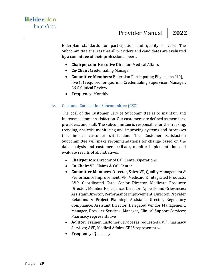Elderplan standards for participation and quality of care. The Subcommittee ensures that all providers and candidates are evaluated by a committee of their professional peers.

- **Chairperson:** Executive Director, Medical Affairs
- **Co-Chair:** Credentialing Manager
- **Committee Members:** Elderplan Participating Physicians (10), five (5) required for quorum; Credentialing Supervisor, Manager, A&G Clinical Review
- **Frequency:** Monthly

#### iv. Customer Satisfaction Subcommittee (CSC)

The goal of the Customer Service Subcommittee is to maintain and increase customer satisfaction. Our customers are defined as members, providers, and staff. The subcommittee is responsible for the tracking, trending, analysis, monitoring and improving systems and processes that impact customer satisfaction. The Customer Satisfaction Subcommittee will make recommendations for change based on the data analysis and customer feedback, monitor implementation and evaluate results of all initiatives.

- **Chairperson:** Director of Call Center Operations
- **Co-Chair:** VP, Claims & Call Center
- **Committee Members**: Director, Sales; VP, Quality Management & Performance Improvement; VP, Medicaid & Integrated Products; AVP, Coordinated Care; Senior Director, Medicare Products; Director, Member Experience; Director, Appeals and Grievances; Assistant Director, Performance Improvement; Director, Provider Relations & Project Planning; Assistant Director, Regulatory Compliance; Assistant Director, Delegated Vendor Management; Manager, Provider Services; Manager, Clinical Support Services; Pharmacy representative
- **Ad Hoc:** Trainer, Customer Service (as requested); VP, Pharmacy Services; AVP, Medical Affairs; EP IS representative
- **Frequency**: Quarterly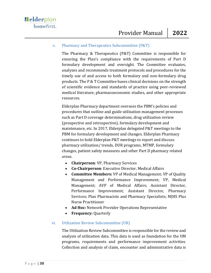#### v. Pharmacy and Therapeutics Subcommittee (P&T)

The Pharmacy & Therapeutics (P&T) Committee is responsible for ensuring the Plan's compliance with the requirements of Part D formulary development and oversight. The Committee evaluates, analyzes and recommends treatment protocols and procedures for the timely use of and access to both formulary and non-formulary drug products. The P & T Committee bases clinical decisions on the strength of scientific evidence and standards of practice using peer-reviewed medical literature, pharmacoeconomic studies, and other appropriate resources.

Elderplan Pharmacy department oversees the PBM's policies and procedures that outline and guide utilization management processes such as Part D coverage determinations, drug utilization review (prospective and retrospective), formulary development and maintenance, etc. In 2017, Elderplan delegated P&T meetings to the PBM for formulary development and changes. Elderplan Pharmacy continues to hold Elderplan P&T meetings to report and discuss pharmacy utilization/ trends, DUR programs, MTMP, formulary changes, patient safety measures and other Part D pharmacy related areas.

- **Chairperson**: VP, Pharmacy Services
- **Co-Chairperson**: Executive Director, Medical Affairs
- **Committee Members:** VP of Medical Management; VP of Quality Management and Performance Improvement; VP, Medical Management; AVP of Medical Affairs; Assistant Director, Performance Improvement; Assistant Director, Pharmacy Services; Plan Pharmacists and Pharmacy Specialists; MJHS Plus Nurse Practitioner
- **Ad Hoc:** Network Provider Operations Representative
- **Frequency:** Quarterly

#### vi. Utilization Review Subcommittee (UR)

The Utilization Review Subcommittee is responsible for the review and analysis of utilization data. This data is used as foundation for the UM programs, requirements and performance improvement activities. Collection and analysis of claim, encounter and administrative data is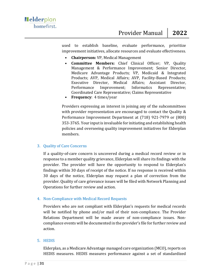used to establish baseline, evaluate performance, prioritize improvement initiatives, allocate resources and evaluate effectiveness.

- **Chairperson:** VP, Medical Management
- **Committee Members:** Chief Clinical Officer; VP, Quality Management & Performance Improvement; Senior Director, Medicare Advantage Products; VP, Medicaid & Integrated Products; AVP, Medical Affairs; AVP, Facility-Based Products; Executive Director, Medical Affairs; Assistant Director, Performance Improvement; Informatics Representative; Coordinated Care Representative; Claims Representative
- **Frequency**: 4 times/year

Providers expressing an interest in joining any of the subcommittees with provider representation are encouraged to contact the Quality & Performance Improvement Department at (718) 921-7979 or (800) 353-3765. Your input is invaluable for initiating and establishing health policies and overseeing quality improvement initiatives for Elderplan members.

#### <span id="page-35-0"></span>3. Quality of Care Concerns

If a quality-of-care concern is uncovered during a medical record review or in response to a member quality grievance, Elderplan will share its findings with the provider. The provider will have the opportunity to respond to Elderplan's findings within 30 days of receipt of the notice. If no response is received within 30 days of the notice, Elderplan may request a plan of correction from the provider. Quality of care grievance issues will be filed with Network Planning and Operations for further review and action.

#### <span id="page-35-1"></span>4. Non-Compliance with Medical Record Requests

Providers who are not compliant with Elderplan's requests for medical records will be notified by phone and/or mail of their non-compliance. The Provider Relations Department will be made aware of non-compliance issues. Noncompliance events will be documented in the provider's file for further review and action.

#### <span id="page-35-2"></span>5. HEDIS

Elderplan, as a Medicare Advantage managed care organization (MCO), reports on HEDIS measures. HEDIS measures performance against a set of standardized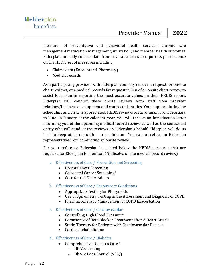measures of preventative and behavioral health services; chronic care management medication management; utilization; and member health outcomes. Elderplan annually collects data from several sources to report its performance on the HEDIS set of measures including:

- Claims data (Encounter & Pharmacy)
- Medical records

As a participating provider with Elderplan you may receive a request for on-site chart reviews, or a medical records fax request in lieu of an onsite chart review to assist Elderplan in reporting the most accurate values on their HEDIS report. Elderplan will conduct these onsite reviews with staff from provider relations/business development and contracted entities. Your support during the scheduling and visits is appreciated. HEDIS reviews occur annually from February to June. In January of the calendar year, you will receive an introduction letter informing you of the upcoming medical record review as well as the contracted entity who will conduct the reviews on Elderplan's behalf. Elderplan will do its best to keep office disruption to a minimum. You cannot refuse an Elderplan representative from conducting an onsite review.

For your reference Elderplan has listed below the HEDIS measures that are required for Elderplan to monitor: (\*indicates onsite medical record review)

- a. Effectiveness of Care / Prevention and Screening
	- Breast Cancer Screening
	- Colorectal Cancer Screening\*
	- Care for the Older Adults
- b. Effectiveness of Care / Respiratory Conditions
	- Appropriate Testing for Pharyngitis
	- Use of Spirometry Testing in the Assessment and Diagnosis of COPD
	- Pharmacotherapy Management of COPD Exacerbation
- c. Effectiveness of Care / Cardiovascular
	- Controlling High Blood Pressure\*
	- Persistence of Beta Blocker Treatment after A Heart Attack
	- Statin Therapy for Patients with Cardiovascular Disease
	- Cardiac Rehabilitation

## d. Effectiveness of Care / Diabetes

- Comprehensive Diabetes Care\*
	- o HbA1c Testing
	- o HbA1c Poor Control (>9%)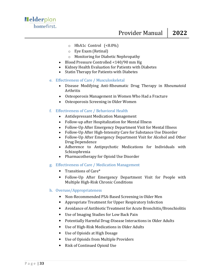- $\circ$  HbA1c Control (<8.0%)
- o Eye Exam (Retinal)
- o Monitoring for Diabetic Nephropathy
- Blood Pressure Controlled <140/90 mm Hg
- Kidney Health Evaluation for Patients with Diabetes
- Statin Therapy for Patients with Diabetes
- e. Effectiveness of Care / Musculoskeletal
	- Disease Modifying Anti-Rheumatic Drug Therapy in Rheumatoid Arthritis
	- Osteoporosis Management in Women Who Had a Fracture
	- Osteoporosis Screening in Older Women

## f. Effectiveness of Care / Behavioral Health

- Antidepressant Medication Management
- Follow-up after Hospitalization for Mental Illness
- Follow-Up After Emergency Department Visit for Mental Illness
- Follow-Up After High-Intensity Care for Substance Use Disorder
- Follow-Up After Emergency Department Visit for Alcohol and Other Drug Dependence
- Adherence to Antipsychotic Medications for Individuals with Schizophrenia
- Pharmacotherapy for Opioid Use Disorder
- g. Effectiveness of Care / Medication Management
	- Transitions of Care\*
	- Follow-Up After Emergency Department Visit for People with Multiple High-Risk Chronic Conditions

#### h. Overuse/Appropriateness

- Non-Recommended PSA-Based Screening in Older Men
- Appropriate Treatment for Upper Respiratory Infection
- Avoidance of Antibiotic Treatment for Acute Bronchitis/Bronchiolitis
- Use of Imaging Studies for Low Back Pain
- Potentially Harmful Drug-Disease Interactions in Older Adults
- Use of High-Risk Medications in Older Adults
- Use of Opioids at High Dosage
- Use of Opioids from Multiple Providers
- Risk of Continued Opioid Use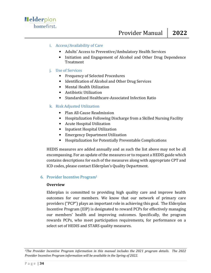### i. Access/Availability of Care

- Adults' Access to Preventive/Ambulatory Health Services
- Initiation and Engagement of Alcohol and Other Drug Dependence Treatment

#### j. Use of Services

- Frequency of Selected Procedures
- Identification of Alcohol and Other Drug Services
- Mental Health Utilization
- Antibiotic Utilization
- Standardized Healthcare-Associated Infection Ratio

## k. Risk Adjusted Utilization

- Plan All-Cause Readmission
- Hospitalization Following Discharge from a Skilled Nursing Facility
- Acute Hospital Utilization
- Inpatient Hospital Utilization
- Emergency Department Utilization
- Hospitalization for Potentially Preventable Complications

HEDIS measures are added annually and as such the list above may not be all encompassing. For an update of the measures or to request a HEDIS guide which contains descriptions for each of the measures along with appropriate CPT and ICD codes, please contact Elderplan's Quality Department.

#### 6. Provider Incentive Program<sup>1</sup>

#### **Overview**

Elderplan is committed to providing high quality care and improve health outcomes for our members. We know that our network of primary care providers ("PCP") plays an important role in achieving this goal. The Elderplan Incentive Program (EIP) is designated to reward PCPs for effectively managing our members' health and improving outcomes. Specifically, the program rewards PCPs, who meet participation requirements, for performance on a select set of HEDIS and STARS quality measures.

*<sup>1</sup>The Provider Incentive Program information in this manual includes the 2021 program details. The 2022 Provider Incentive Program information will be available in the Spring of 2022.*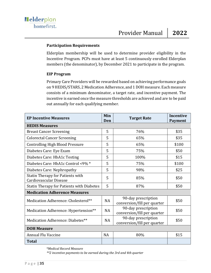#### **Participation Requirements**

Elderplan membership will be used to determine provider eligibility in the Incentive Program. PCPs must have at least 5 continuously enrolled Elderplan members (the denominator), by December 2021 to participate in the program.

#### **EIP Program**

Primary Care Providers will be rewarded based on achieving performance goals on 9 HEDIS/STARS, 2 Medication Adherence, and 1 DOH measure. Each measure consists of a minimum denominator, a target rate, and incentive payment. The incentive is earned once the measure thresholds are achieved and are to be paid out annually for each qualifying member.

| <b>EP Incentive Measures</b>                                      | Min<br>Den | <b>Target Rate</b>                                 | Incentive<br><b>Payment</b> |  |  |
|-------------------------------------------------------------------|------------|----------------------------------------------------|-----------------------------|--|--|
| <b>HEDIS Measures</b>                                             |            |                                                    |                             |  |  |
| <b>Breast Cancer Screening</b>                                    | 5          | 76%                                                | \$35                        |  |  |
| <b>Colorectal Cancer Screening</b>                                | 5          | 65%                                                | \$35                        |  |  |
| <b>Controlling High Blood Pressure</b>                            | 5          | 65%                                                | \$100                       |  |  |
| Diabetes Care: Eye Exam                                           | 5          | 75%                                                | \$50                        |  |  |
| Diabetes Care: HbA1c Testing                                      | 5          | 100%                                               | \$15                        |  |  |
| Diabetes Care: HbA1c Control <9% *                                | 5          | 75%                                                | \$100                       |  |  |
| Diabetes Care: Nephropathy                                        | 5          | 98%                                                | \$25                        |  |  |
| <b>Statin Therapy for Patients with</b><br>Cardiovascular Disease | 5          | 85%                                                | \$50                        |  |  |
| <b>Statin Therapy for Patients with Diabetes</b>                  | 5          | 87%                                                | \$50                        |  |  |
| <b>Medication Adherence Measures</b>                              |            |                                                    |                             |  |  |
| Medication Adherence: Cholesterol**                               | NA         | 90-day prescription<br>conversion/fill per quarter | \$50                        |  |  |
| Medication Adherence: Hypertension**                              | <b>NA</b>  | 90-day prescription<br>conversion/fill per quarter | \$50                        |  |  |
| Medication Adherence: Diabetes**                                  | <b>NA</b>  | 90-day prescription<br>conversion/fill per quarter | \$50                        |  |  |
| <b>DOH Measure</b>                                                |            |                                                    |                             |  |  |
| Annual Flu Vaccine                                                | <b>NA</b>  | 80%                                                | \$15                        |  |  |
| <b>Total</b>                                                      |            |                                                    |                             |  |  |

\**Medical Record Measure*

*\*\*2 incentive payments to be earned during the 3rd and 4th quarter*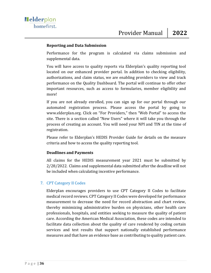#### **Reporting and Data Submission**

Performance for the program is calculated via claims submission and supplemental data.

You will have access to quality reports via Elderplan's quality reporting tool located on our enhanced provider portal. In addition to checking eligibility, authorizations, and claim status, we are enabling providers to view and track performance on the Quality Dashboard. The portal will continue to offer other important resources, such as access to formularies, member eligibility and more!

If you are not already enrolled, you can sign up for our portal through our automated registration process. Please access the portal by going to www.elderplan.org. Click on "For Providers," then "Web Portal" to access the site. There is a section called "New Users" where it will take you through the process of creating an account. You will need your NPI and TIN at the time of registration.

Please refer to Elderplan's HEDIS Provider Guide for details on the measure criteria and how to access the quality reporting tool.

#### **Deadlines and Payments**

All claims for the HEDIS measurement year 2021 must be submitted by 2/28/2022. Claims and supplemental data submitted after the deadline will not be included when calculating incentive performance.

#### 7. CPT Category II Codes

Elderplan encourages providers to use CPT Category II Codes to facilitate medical record reviews. CPT Category II Codes were developed for performance measurement to decrease the need for record abstraction and chart review, thereby minimizing administrative burden on physicians, other health care professionals, hospitals, and entities seeking to measure the quality of patient care. According the American Medical Association, these codes are intended to facilitate data collection about the quality of care rendered by coding certain services and test results that support nationally established performance measures and that have an evidence base as contributing to quality patient care.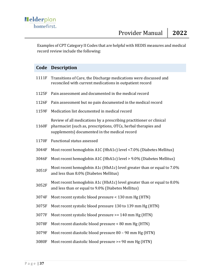Examples of CPT Category II Codes that are helpful with HEDIS measures and medical record review include the following:

# **Code Description**

| 1111F | Transitions of Care, the Discharge medications were discussed and<br>reconciled with current medications in outpatient record                                                          |
|-------|----------------------------------------------------------------------------------------------------------------------------------------------------------------------------------------|
| 1125F | Pain assessment and documented in the medical record                                                                                                                                   |
| 1126F | Pain assessment but no pain documented in the medical record                                                                                                                           |
| 1159F | Medication list documented in medical record                                                                                                                                           |
| 1160F | Review of all medications by a prescribing practitioner or clinical<br>pharmacist (such as, prescriptions, OTCs, herbal therapies and<br>supplements) documented in the medical record |
| 1170F | Functional status assessed                                                                                                                                                             |
| 3044F | Most recent hemoglobin A1C (HbA1c) level <7.0% (Diabetes Mellitus)                                                                                                                     |
| 3046F | Most recent hemoglobin A1C (HbA1c) level > 9.0% (Diabetes Mellitus)                                                                                                                    |
| 3051F | Most recent hemoglobin A1c (HbA1c) level greater than or equal to 7.0%<br>and less than 8.0% (Diabetes Mellitus)                                                                       |
| 3052F | Most recent hemoglobin A1c (HbA1c) level greater than or equal to 8.0%<br>and less than or equal to 9.0% (Diabetes Mellitus)                                                           |
| 3074F | Most recent systolic blood pressure < 130 mm Hg (HTN)                                                                                                                                  |
| 3075F | Most recent systolic blood pressure 130 to 139 mm Hg (HTN)                                                                                                                             |
| 3077F | Most recent systolic blood pressure >= 140 mm Hg (HTN)                                                                                                                                 |
| 3078F | Most recent diastolic blood pressure < 80 mm Hg (HTN)                                                                                                                                  |
| 3079F | Most recent diastolic blood pressure 80 - 90 mm Hg (HTN)                                                                                                                               |
| 3080F | Most recent diastolic blood pressure >= 90 mm Hg (HTN)                                                                                                                                 |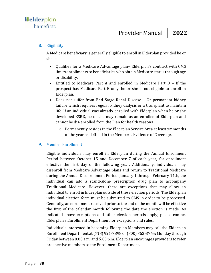### 8. Eligibility

A Medicare beneficiary is generally eligible to enroll in Elderplan provided he or she is:

- Qualifies for a Medicare Advantage plan– Elderplan's contract with CMS limits enrollments to beneficiaries who obtain Medicare status through age or disability.
- Entitled to Medicare Part A and enrolled in Medicare Part B If the prospect has Medicare Part B only, he or she is not eligible to enroll in Elderplan.
- Does not suffer from End Stage Renal Disease Or permanent kidney failure which requires regular kidney dialysis or a transplant to maintain life. If an individual was already enrolled with Elderplan when he or she developed ESRD, he or she may remain as an enrollee of Elderplan and cannot be dis-enrolled from the Plan for health reasons.
	- o Permanently resides in the Elderplan Service Area at least six months of the year as defined in the Member's Evidence of Coverage.

#### 9. Member Enrollment

Eligible individuals may enroll in Elderplan during the Annual Enrollment Period between October 15 and December 7 of each year, for enrollment effective the first day of the following year. Additionally, individuals may disenroll from Medicare Advantage plans and return to Traditional Medicare during the Annual Disenrollment Period, January 1 through February 14th, the individual can add a stand-alone prescription drug plan to accompany Traditional Medicare. However, there are exceptions that may allow an individual to enroll in Elderplan outside of these election periods. The Elderplan individual election form must be submitted to CMS in order to be processed. Generally, an enrollment received prior to the end of the month will be effective the first of the calendar month following the date the election is made. As indicated above exceptions and other election periods apply; please contact Elderplan's Enrollment Department for exceptions and rules.

Individuals interested in becoming Elderplan Members may call the Elderplan Enrollment Department at (718) 921-7898 or (800) 353-3765; Monday through Friday between 8:00 a.m. and 5:00 p.m. Elderplan encourages providers to refer prospective members to the Enrollment Department.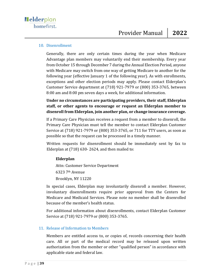#### 10. Disenrollment

Generally, there are only certain times during the year when Medicare Advantage plan members may voluntarily end their membership. Every year from October 15 through December 7 during the Annual Election Period, anyone with Medicare may switch from one way of getting Medicare to another for the following year (effective January 1 of the following year). As with enrollments, exceptions and other election periods may apply. Please contact Elderplan's Customer Service department at (718) 921-7979 or (800) 353-3765, between 8:00 am and 8:00 pm seven days a week, for additional information.

**Under no circumstances are participating providers, their staff, Elderplan staff, or other agents to encourage or request an Elderplan member to disenroll from Elderplan, join another plan, or change insurance coverage.**

If a Primary Care Physician receives a request from a member to disenroll, the Primary Care Physician must tell the member to contact Elderplan Customer Service at (718) 921-7979 or (800) 353-3765, or 711 for TTY users, as soon as possible so that the request can be processed in a timely manner.

Written requests for disenrollment should be immediately sent by fax to Elderplan at (718) 630- 2624, and then mailed to:

## **Elderplan**

Attn: Customer Service Department 6323 7th Avenue Brooklyn, NY 11220

In special cases, Elderplan may involuntarily disenroll a member. However, involuntary disenrollments require prior approval from the Centers for Medicare and Medicaid Services. Please note no member shall be disenrolled because of the member's health status.

For additional information about disenrollments, contact Elderplan Customer Service at (718) 921-7979 or (800) 353-3765.

#### 11. Release of Information to Members

Members are entitled access to, or copies of, records concerning their health care. All or part of the medical record may be released upon written authorization from the member or other "qualified person" in accordance with applicable state and federal law.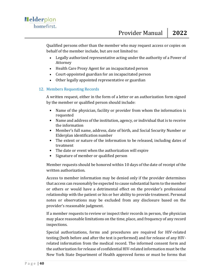Qualified persons other than the member who may request access or copies on behalf of the member include, but are not limited to:

- Legally authorized representative acting under the authority of a Power of Attorney
- Health Care Proxy Agent for an incapacitated person
- Court-appointed guardian for an incapacitated person
- Other legally appointed representative or guardian

## 12. Members Requesting Records

A written request, either in the form of a letter or an authorization form signed by the member or qualified person should include:

- Name of the physician, facility or provider from whom the information is requested
- Name and address of the institution, agency, or individual that is to receive the information
- Member's full name, address, date of birth, and Social Security Number or Elderplan identification number
- The extent or nature of the information to be released, including dates of treatment
- The date or event when the authorization will expire
- Signature of member or qualified person

Member requests should be honored within 10 days of the date of receipt of the written authorization.

Access to member information may be denied only if the provider determines that access can reasonably be expected to cause substantial harm to the member or others or would have a detrimental effect on the provider's professional relationship with the patient or his or her ability to provide treatment. Personal notes or observations may be excluded from any disclosure based on the provider's reasonable judgment.

If a member requests to review or inspect their records in person, the physician may place reasonable limitations on the time, place, and frequency of any record inspections.

Special authorizations, forms and procedures are required for HIV-related testing (both before and after the test is performed) and for release of any HIVrelated information from the medical record. The informed consent form and the authorization for release of confidential HIV-related information must be the New York State Department of Health approved forms or must be forms that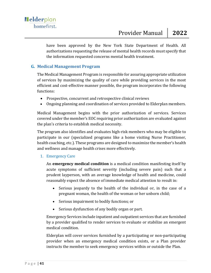have been approved by the New York State Department of Health. All authorizations requesting the release of mental health records must specify that the information requested concerns mental health treatment.

## **G. Medical Management Program**

The Medical Management Program is responsible for assuring appropriate utilization of services by maximizing the quality of care while providing services in the most efficient and cost-effective manner possible, the program incorporates the following functions:

- Prospective, concurrent and retrospective clinical reviews
- Ongoing planning and coordination of services provided to Elderplan members.

Medical Management begins with the prior authorization of services. Services covered under the member's EOC requiring prior authorization are evaluated against the plan's criteria to establish medical necessity.

The program also identifies and evaluates high-risk members who may be eligible to participate in our (specialized programs like a home visiting Nurse Practitioner, health coaching, etc.). These programs are designed to maximize the member's health and wellness and manage health crises more effectively.

#### 1. Emergency Care

An **emergency medical condition** is a medical condition manifesting itself by acute symptoms of sufficient severity (including severe pain) such that a prudent layperson, with an average knowledge of health and medicine, could reasonably expect the absence of immediate medical attention to result in:

- Serious jeopardy to the health of the individual or, in the case of a pregnant woman, the health of the woman or her unborn child;
- Serious impairment to bodily functions; or
- Serious dysfunction of any bodily organ or part.

Emergency Services include inpatient and outpatient services that are furnished by a provider qualified to render services to evaluate or stabilize an emergent medical condition.

Elderplan will cover services furnished by a participating or non-participating provider when an emergency medical condition exists, or a Plan provider instructs the member to seek emergency services within or outside the Plan.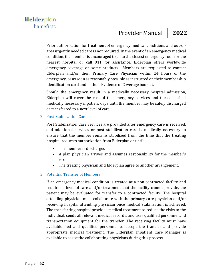Prior authorization for treatment of emergency medical conditions and out-ofarea urgently needed care is not required. In the event of an emergency medical condition, the member is encouraged to go to the closest emergency room or the nearest hospital or call 911 for assistance. Elderplan offers worldwide emergency coverage on some products. Members are requested to contact Elderplan and/or their Primary Care Physician within 24 hours of the emergency, or as soon as reasonably possible as instructed on their membership identification card and in their Evidence of Coverage booklet.

Should the emergency result in a medically necessary hospital admission, Elderplan will cover the cost of the emergency services and the cost of all medically necessary inpatient days until the member may be safely discharged or transferred to a next level of care.

#### 2. Post-Stabilization Care

Post Stabilization Care Services are provided after emergency care is received, and additional services or post stabilization care is medically necessary to ensure that the member remains stabilized from the time that the treating hospital requests authorization from Elderplan or until:

- The member is discharged
- A plan physician arrives and assumes responsibility for the member's care
- The treating physician and Elderplan agree to another arrangement.

## 3. Potential Transfer of Members

If an emergency medical condition is treated at a non-contracted facility and requires a level of care and/or treatment that the facility cannot provide, the patient may be evaluated for transfer to a contracted facility. The hospital attending physician must collaborate with the primary care physician and/or receiving hospital attending physician once medical stabilization is achieved. The transferring hospital provides medical treatment to reduce the risks to the individual, sends all relevant medical records, and uses qualified personnel and transportation equipment for the transfer. The receiving facility must have available bed and qualified personnel to accept the transfer and provide appropriate medical treatment. The Elderplan Inpatient Case Manager is available to assist the collaborating physicians during this process.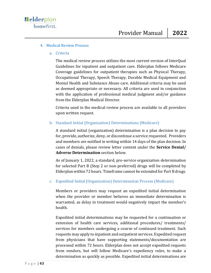#### 4. Medical Review Process

a. Criteria

The medical review process utilizes the most current version of InterQual Guidelines for inpatient and outpatient care. Elderplan follows Medicare Coverage guidelines for outpatient therapies such as Physical Therapy, Occupational Therapy, Speech Therapy, Durable Medical Equipment and Mental Health and Substance Abuse care. Additional criteria may be used as deemed appropriate or necessary. All criteria are used in conjunction with the application of professional medical judgment and/or guidance from the Elderplan Medical Director.

Criteria used in the medical review process are available to all providers upon written request.

#### b. Standard Initial (Organization) Determinations (Medicare)

A standard initial (organization) determination is a plan decision to pay for, provide, authorize, deny, or discontinue a service requested. Providers and members are notified in writing within 14 days of the plan decision. In cases of denials, please review letter content under the **Service Denial/ Adverse Determination** section below.

As of January 1, 2022, a standard, pre-service organization determination for selected Part B (Step 2 or non-preferred) drugs will be completed by Elderplan within 72 hours. Timeframe cannot be extended for Part B drugs.

#### c. Expedited Initial (Organization) Determination Process (Medicare)

Members or providers may request an expedited initial determination when the provider or member believes an immediate determination is warranted, as delay in treatment would negatively impact the member's health.

Expedited initial determinations may be requested for a continuation or extension of health care services, additional procedures/ treatments/ services for members undergoing a course of continued treatment. Such requests may apply to inpatient and outpatient services. Expedited request from physicians that have supporting statements/documentation are processed within 72 hours. Elderplan does not accept expedited requests from vendors, but will follow Medicare's expediency rules, to make a determination as quickly as possible. Expedited initial determinations are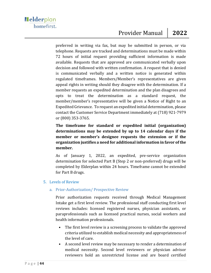preferred in writing via fax, but may be submitted in person, or via telephone. Requests are tracked and determinations must be made within 72 hours of initial request providing sufficient information is made available. Requests that are approved are communicated verbally upon decision and followed with written confirmation. A request that is denied is communicated verbally and a written notice is generated within regulated timeframes. Members/Member's representatives are given appeal rights in writing should they disagree with the determination. If a member requests an expedited determination and the plan disagrees and opts to treat the determination as a standard request, the member/member's representative will be given a Notice of Right to an Expedited Grievance. To request an expedited initial determination, please contact the Customer Service Department immediately at (718) 921-7979 or (800) 353-3765.

**The timeframe for standard or expedited initial (organization) determinations may be extended by up to 14 calendar days if the member or member's designee requests the extension or if the organization justifies a need for additional information in favor of the member.**

As of January 1, 2022, an expedited, pre-service organization determination for selected Part B (Step 2 or non-preferred) drugs will be completed by Elderplan within 24 hours. Timeframe cannot be extended for Part B drugs.

#### 5. Levels of Review

#### a. Prior-Authorization/ Prospective Review

Prior authorization requests received through Medical Management Intake get a first level review. The professional staff conducting first level reviews includes: licensed registered nurses, physician assistants, or paraprofessionals such as licensed practical nurses, social workers and health information professionals.

- The first level review is a screening process to validate the approved criteria utilized to establish medical necessity and appropriateness of the level of care.
- A second level review may be necessary to render a determination of medical necessity. Second level reviewers or physician advisor reviewers hold an unrestricted license and are board certified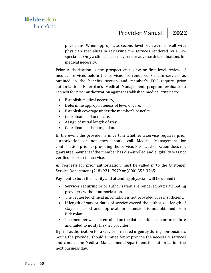physicians. When appropriate, second level reviewers consult with physician specialists in reviewing the services rendered by a like specialist. Only a clinical peer may render adverse determinations for medical necessity.

Prior Authorization is the prospective review or first level review of medical services before the services are rendered. Certain services as outlined in the benefits section and member's EOC require prior authorization. Elderplan's Medical Management program evaluates a request for prior authorization against established medical criteria to:

- Establish medical necessity,
- Determine appropriateness of level of care,
- Establish coverage under the member's benefits,
- Coordinate a plan of care,
- Assign of initial length of stay,
- Coordinate a discharge plan.

In the event the provider is uncertain whether a service requires prior authorization or not they should call Medical Management for confirmation prior to providing the service. Prior authorization does not guarantee payment if the member has dis-enrolled and eligibility was not verified prior to the service.

All requests for prior authorization must be called in to the Customer Service Department (718) 921- 7979 or (800) 353-3765.

Payment to both the facility and attending physician will be denied if:

- Services requiring prior authorization are rendered by participating providers without authorization.
- The requested clinical information is not provided or is insufficient.
- If length of stay or dates of service exceed the authorized length of stay or period and approval for extension is not obtained from Elderplan.
- The member was dis-enrolled on the date of admission or procedure and failed to notify his/her provider.

If prior authorization for a service is needed urgently during non-business hours, the provider should arrange for or provide the necessary services and contact the Medical Management Department for authorization the next business day.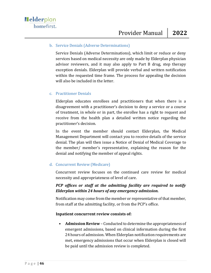#### b. Service Denials (Adverse Determinations)

Service Denials (Adverse Determinations), which limit or reduce or deny services based on medical necessity are only made by Elderplan physician advisor reviewers, and it may also apply to Part B drug, step therapy exception denials. Elderplan will provide verbal and written notification within the requested time frame. The process for appealing the decision will also be included in the letter.

#### c. Practitioner Denials

Elderplan educates enrollees and practitioners that when there is a disagreement with a practitioner's decision to deny a service or a course of treatment, in whole or in part, the enrollee has a right to request and receive from the health plan a detailed written notice regarding the practitioner's decision.

In the event the member should contact Elderplan, the Medical Management Department will contact you to receive details of the service denial. The plan will then issue a Notice of Denial of Medical Coverage to the member/ member's representative, explaining the reason for the denial and notifying the member of appeal rights.

#### d. Concurrent Review (Medicare)

Concurrent review focuses on the continued care review for medical necessity and appropriateness of level of care.

## *PCP offices or staff at the admitting facility are required to notify Elderplan within 24 hours of any emergency admission.*

Notification may come from the member or representative of that member, from staff at the admitting facility, or from the PCP's office.

#### **Inpatient concurrent review consists of:**

• **Admission Review** – Conducted to determine the appropriateness of emergent admissions, based on clinical information during the first 24 hours of admission. When Elderplan notification requirements are met, emergency admissions that occur when Elderplan is closed will be paid until the admission review is completed.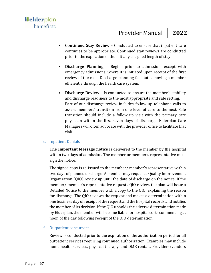- **Continued Stay Review**  Conducted to ensure that inpatient care continues to be appropriate. Continued stay reviews are conducted prior to the expiration of the initially assigned length of stay.
- **Discharge Planning**  Begins prior to admission, except with emergency admissions, where it is initiated upon receipt of the first review of the case. Discharge planning facilitates moving a member efficiently through the health care system.
- **Discharge Review**  Is conducted to ensure the member's stability and discharge readiness to the most appropriate and safe setting. Part of our discharge review includes follow-up telephone calls to assess members' transition from one level of care to the next. Safe transition should include a follow-up visit with the primary care physician within the first seven days of discharge. Elderplan Care Managers will often advocate with the provider office to facilitate that visit.

#### e. Inpatient Denials

**The Important Message notice** is delivered to the member by the hospital within two days of admission. The member or member's representative must sign the notice.

The signed copy is re-issued to the member/ member's representative within two days of planned discharge. A member may request a Quality Improvement Organization (QIO) review up until the date of discharge on the notice. If the member/ member's representative requests QIO review, the plan will issue a Detailed Notice to the member with a copy to the QIO, explaining the reason for discharge. The QIO reviews the request and makes a determination within one business day of receipt of the request and the hospital records and notifies the member of its decision. If the QIO upholds the adverse determination made by Elderplan, the member will become liable for hospital costs commencing at noon of the day following receipt of the QIO determination.

#### f. Outpatient concurrent

Review is conducted prior to the expiration of the authorization period for all outpatient services requiring continued authorization. Examples may include home health services, physical therapy, and DME rentals. Providers/vendors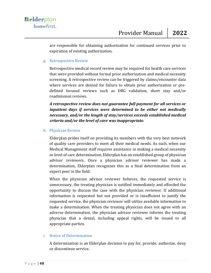are responsible for obtaining authorization for continued services prior to expiration of existing authorization.

#### g. Retrospective Review

Retrospective medical record review may be required for health care services that were provided without formal prior authorization and medical necessity screening. A retrospective review can be triggered by claims/encounter data where services are denied for failure to obtain prior authorization or predefined focused reviews such as DRG validation, short stay and/or readmission reviews.

*A retrospective review does not guarantee full payment for all services or inpatient days if services were determined to be either not medically necessary, and/or the length of stay/services exceeds established medical criteria and/or the level of care was inappropriate.*

#### h. Physician Review

Elderplan prides itself on providing its members with the very best network of quality care providers to meet all their medical needs. As such, when our Medical Management staff requires assistance in making a medical necessity or level of care determination, Elderplan has an established group of physician advisor reviewers. Once a physician advisor reviewer has made a determination, Elderplan recognizes this as a final determination from an expert peer in the field.

When the physician advisor reviewer believes, the requested service is unnecessary, the treating physician is notified immediately and afforded the opportunity to discuss the case with the physician reviewer. If additional information is requested but not provided or is insufficient to justify the requested service, the physician reviewer will utilize available information to make a determination. When the treating physician does not agree with an adverse determination, the physician advisor reviewer informs the treating physician that a denial, including appeal rights, will be issued to all appropriate parties.

#### i. Notice of Determination

A determination is an Elderplan decision to pay for, provide, authorize, deny or discontinue service.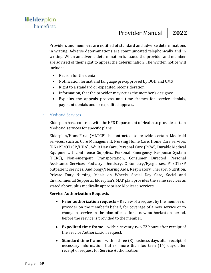Providers and members are notified of standard and adverse determinations in writing. Adverse determinations are communicated telephonically and in writing. When an adverse determination is issued the provider and member are advised of their right to appeal the determination. The written notice will include:

- Reason for the denial
- Notification format and language pre-approved by DOH and CMS
- Right to a standard or expedited reconsideration
- Information, that the provider may act as the member's designee
- Explains the appeals process and time frames for service denials, payment denials and or expedited appeals.

#### j. Medicaid Services

Elderplan has a contract with the NYS Department of Health to provide certain Medicaid services for specific plans.

Elderplan/HomeFirst (MLTCP) is contracted to provide certain Medicaid services, such as Care Management, Nursing Home Care, Home Care services (RN/PT/OT/SP/HHA), Adult Day Care, Personal Care (PCW), Durable Medical Equipment, Incontinence Supplies, Personal Emergency Response System (PERS), Non-emergent Transportation, Consumer Directed Personal Assistance Services, Podiatry, Dentistry, Optometry/Eyeglasses, PT/OT/SP outpatient services, Audiology/Hearing Aids, Respiratory Therapy, Nutrition, Private Duty Nursing, Meals on Wheels, Social Day Care, Social and Environmental Supports. Elderplan's MAP plan provides the same services as stated above, plus medically appropriate Medicare services.

#### **Service Authorization Requests**

- **Prior authorization requests** Review of a request by the member or provider on the member's behalf, for coverage of a new service or to change a service in the plan of case for a new authorization period, before the service is provided to the member.
- **Expedited time frame** within seventy-two 72 hours after receipt of the Service Authorization request.
- **Standard time frame** within three (3) business days after receipt of necessary information, but no more than fourteen (14) days after receipt of request for Service Authorization.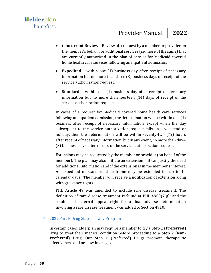- **Concurrent Review** Review of a request by a member or provider on the member's behalf, for additional services (i.e. more of the same) that are currently authorized in the plan of care or for Medicaid covered home health care services following an inpatient admission.
- **Expedited** within one (1) business day after receipt of necessary information but no more than three (3) business days of receipt of the service authorization request.
- **Standard**  within one (1) business day after receipt of necessary information but no more than fourteen (14) days of receipt of the service authorization request.

In cases of a request for Medicaid covered home health care services following an inpatient admission, the determination will be within one (1) business after receipt of necessary information, except when the day subsequent to the service authorization request falls on a weekend or holiday, then the determination will be within seventy-two (72) hours after receipt of necessary information, but in any event, no more than three (3) business days after receipt of the service authorization request.

Extensions may be requested by the member or provider (on behalf of the member). The plan may also initiate an extension if it can justify the need for additional information and if the extension is in the member's interest. An expedited or standard time frame may be extended for up to 14 calendar days. The member will receive a notification of extension along with grievance rights.

PHL Article 49 was amended to include rare disease treatment. The definition of rare disease treatment is found at PHL 4900(7-g): and the established external appeal right for a final adverse determination involving a rare disease treatment was added to Section 4910.

#### 6. 2022 Part B Drug Step Therapy Program

In certain cases, Elderplan may require a member to try a **Step 1 (Preferred)** Drug to treat their medical condition before proceeding to a **Step 2 (Non-Preferred)** Drug. Our Step 1 (Preferred) Drugs promote therapeutic effectiveness and are low in drug cost.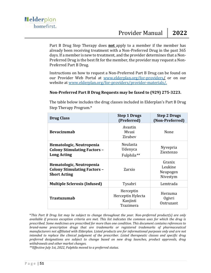Part B Drug Step Therapy does **not** apply to a member if the member has already been receiving treatment with a Non-Preferred Drug in the past 365 days. If a member is new to treatment, and the provider determines that a Non-Preferred Drug is the best fit for the member, the provider may request a Non-Preferred Part B Drug.

Instructions on how to request a Non-Preferred Part B Drug can be found on our Provider Web Portal at [www.elderplan.org/for-providers/](http://www.elderplan.org/for-providers/provider-materials/) or on our website at [www.elderplan.org/for-providers/provider-materials/.](http://www.elderplan.org/for-providers/provider-materials/)

#### **Non-Preferred Part B Drug Requests may be faxed to (929) 275-3223.**

The table below includes the drug classes included in Elderplan's Part B Drug Step Therapy Program.\*

| <b>Drug Class</b>                                                                      | <b>Step 1 Drugs</b><br>(Preferred)                      | <b>Step 2 Drugs</b><br>(Non-Preferred)    |
|----------------------------------------------------------------------------------------|---------------------------------------------------------|-------------------------------------------|
| <b>Bevacizumab</b>                                                                     | Avastin<br>Mvasi<br>Zirabev                             | None                                      |
| Hematologic, Neutropenia<br><b>Colony Stimulating Factors -</b><br><b>Long Acting</b>  | Neulasta<br>Udenyca<br>Fulphila**                       | Nyvepria<br>Ziextenzo                     |
| Hematologic, Neutropenia<br><b>Colony Stimulating Factors -</b><br><b>Short Acting</b> | Zarxio                                                  | Granix<br>Leukine<br>Neupogen<br>Nivestym |
| <b>Multiple Sclerosis (Infused)</b>                                                    | Tysabri                                                 | Lemtrada                                  |
| Trastuzumab                                                                            | Herceptin<br>Herceptin Hylecta<br>Kanjinti<br>Trazimera | Herzuma<br>0 givri<br>Ontruzant           |

\**This Part B Drug list may be subject to change throughout the year. Non-preferred product(s) are only available if process exception criteria are met. This list indicates the common uses for which the drug is prescribed. Some medicines are prescribed for more than one condition. This document contains references to brand-name prescription drugs that are trademarks or registered trademarks of pharmaceutical manufacturers not affiliated with Elderplan. Listed products are for informational purposes only and are not intended to replace the clinical judgment of the prescriber. Listed therapeutic classes and specific drug preferred designations are subject to change based on new drug launches, product approvals, drug withdrawals and other market changes.*

*\*\*Effective July 1st, 2022, Fulphila moved to a preferred status.*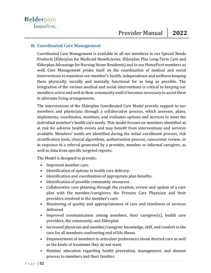### **H. Coordinated Care Management**

Coordinated Care Management is available to all our members in our Special Needs Products (Elderplan for Medicaid Beneficiaries, Elderplan Plus Long-Term Care and Elderplan Advantage for Nursing Home Residents) and to our HomeFirst members as well. Care Management prides itself on the coordination of medical and social interventions to maximize our member's health, independence and wellness keeping them physically, socially and mentally functional for as long as possible. The integration of the various medical and social interventions is critical to keeping our members active and well in their community until it becomes necessary to assist them in alternate living arrangements.

The interventions of the Elderplan Coordinated Care Model provide support to our members and physicians through a collaborative process, which assesses, plans, implements, coordinates, monitors, and evaluates options and services to meet the individual member's health care needs. This model focuses on members identified as at risk for adverse health events and may benefit from interventions and services available. Members' needs are identified during the initial enrollment process, risk stratification tools, clinical algorithms, authorization process, concurrent review, or in response to a referral generated by a provider, member or informal caregiver, as well as data from specific targeted reports.

The Model is designed to provide:

- Improved member care.
- Identification of options in health care delivery.
- Identification and coordination of appropriate plan benefits.
- Identification of possible community resources.
- Collaborative care planning through the creation, review and update of a care plan with the member/caregivers, the Primary Care Physician and their providers involved in the member's care.
- Monitoring of quality and appropriateness of care and timeliness of services delivered.
- Improved communication among members, their caregiver(s), health care providers, the community, and Elderplan
- Increased physician and member/caregiver knowledge, skill, and comfort in the care for all members confronting end of life illness.
- Empowerment of members to articulate preferences about desired care as well as the kinds of treatment they do not want.
- Member education regarding health prevention, management, and disease process to members and their families.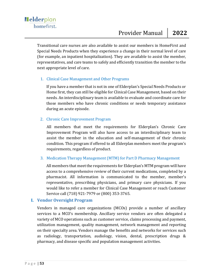Transitional care nurses are also available to assist our members in HomeFirst and Special Needs Products when they experience a change in their normal level of care (for example, an inpatient hospitalization). They are available to assist the member, representatives, and care teams to safely and efficiently transition the member to the next appropriate level of care.

#### 1. Clinical Case Management and Other Programs

If you have a member that is not in one of Elderplan's Special Needs Products or Home first, they can still be eligible for Clinical Case Management, based on their needs. An interdisciplinary team is available to evaluate and coordinate care for those members who have chronic conditions or needs temporary assistance during an acute episode.

#### 2. Chronic Care Improvement Program

All members that meet the requirements for Elderplan's Chronic Care Improvement Program will also have access to an interdisciplinary team to assist the member in the education and self-management of their chronic condition. This program if offered to all Elderplan members meet the program's requirements, regardless of product.

#### 3. Medication Therapy Management (MTM) for Part D Pharmacy Management

All members that meet the requirements for Elderplan's MTM program will have access to a comprehensive review of their current medications, completed by a pharmacist. All information is communicated to the member, member's representative, prescribing physicians, and primary care physicians. If you would like to refer a member for Clinical Case Management or reach Customer Service call (718) 921-7979 or (800) 353-3765.

## **I. Vendor Oversight Program**

Vendors in managed care organizations (MCOs) provide a number of ancillary services to a MCO's membership. Ancillary service vendors are often delegated a variety of MCO operations such as customer service, claims processing and payment, utilization management, quality management, network management and reporting on their specialty area. Vendors manage the benefits and networks for services such as radiology, transportation, audiology, vision, dental, prescription drugs & pharmacy, and disease specific and population management activities.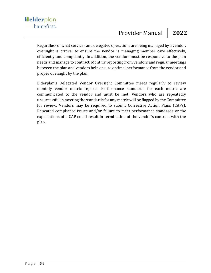Regardless of what services and delegated operations are being managed by a vendor, oversight is critical to ensure the vendor is managing member care effectively, efficiently and compliantly. In addition, the vendors must be responsive to the plan needs and manage to contract. Monthly reporting from vendors and regular meetings between the plan and vendors help ensure optimal performance from the vendor and proper oversight by the plan.

Elderplan's Delegated Vendor Oversight Committee meets regularly to review monthly vendor metric reports. Performance standards for each metric are communicated to the vendor and must be met. Vendors who are repeatedly unsuccessful in meeting the standards for any metric will be flagged by the Committee for review. Vendors may be required to submit Corrective Action Plans (CAPs). Repeated compliance issues and/or failure to meet performance standards or the expectations of a CAP could result in termination of the vendor's contract with the plan.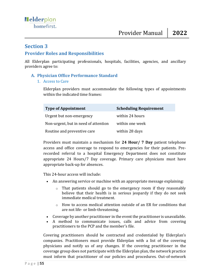## **Section 3**

## **Provider Roles and Responsibilities**

All Elderplan participating professionals, hospitals, facilities, agencies, and ancillary providers agree to:

## **A. Physician Office Performance Standard**

#### 1. Access to Care

Elderplan providers must accommodate the following types of appointments within the indicated time frames:

| <b>Type of Appointment</b>           | <b>Scheduling Requirement</b> |
|--------------------------------------|-------------------------------|
| Urgent but non-emergency             | within 24 hours               |
| Non-urgent, but in need of attention | within one week               |
| Routine and preventive care          | within 28 days                |

Providers must maintain a mechanism for **24 Hour/ 7 Day** patient telephone access and office coverage to respond to emergencies for their patients. Prerecorded referral to a hospital Emergency Department does not constitute appropriate 24 Hours/7 Day coverage. Primary care physicians must have appropriate back-up for absences.

This 24-hour access will include:

- An answering service or machine with an appropriate message explaining:
	- o That patients should go to the emergency room if they reasonably believe that their health is in serious jeopardy if they do not seek immediate medical treatment.
	- $\circ$  How to access medical attention outside of an ER for conditions that are not life- or limb-threatening.
- Coverage by another practitioner in the event the practitioner is unavailable.
- A method to communicate issues, calls and advice from covering practitioners to the PCP and the member's file.

Covering practitioners should be contracted and credentialed by Elderplan's companies. Practitioners must provide Elderplan with a list of the covering physicians and notify us of any changes. If the covering practitioner in the coverage group does not participate with the Elderplan plan, the network practice must inform that practitioner of our policies and procedures. Out-of-network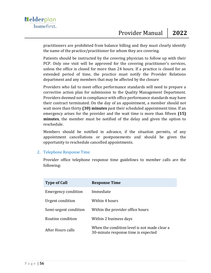practitioners are prohibited from balance billing and they must clearly identify the name of the practice/practitioner for whom they are covering.

Patients should be instructed by the covering physician to follow up with their PCP. Only one visit will be approved for the covering practitioner's services, unless the office is closed for more than 24 hours. If a practice is closed for an extended period of time, the practice must notify the Provider Relations department and any members that may be affected by the closure

Providers who fail to meet office performance standards will need to prepare a corrective action plan for submission to the Quality Management Department. Providers deemed not in compliance with office performance standards may have their contract terminated. On the day of an appointment, a member should not wait more than thirty **(30) minutes** past their scheduled appointment time. If an emergency arises for the provider and the wait time is more than fifteen **(15) minutes**, the member must be notified of the delay and given the option to reschedule.

Members should be notified in advance, if the situation permits, of any appointment cancellations or postponements and should be given the opportunity to reschedule cancelled appointments.

#### 2. Telephone Response Time

Provider office telephone response time guidelines to member calls are the following:

| <b>Type of Call</b>        | <b>Response Time</b>                                                                |
|----------------------------|-------------------------------------------------------------------------------------|
| <b>Emergency condition</b> | Immediate                                                                           |
| Urgent condition           | Within 4 hours                                                                      |
| Semi-urgent condition      | Within the provider office hours                                                    |
| Routine condition          | Within 2 business days                                                              |
| After Hours calls          | When the condition level is not made clear a<br>30-minute response time is expected |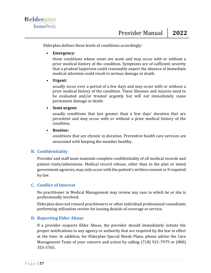Elderplan defines these levels of conditions accordingly:

#### • **Emergency:**

those conditions whose onset are acute and may occur with or without a prior medical history of the condition. Symptoms are of sufficient severity that a prudent layperson could reasonably expect the absence of immediate medical attention could result in serious damage or death.

#### • **Urgent:**

usually occur over a period of a few days and may occur with or without a prior medical history of the condition. These illnesses and injuries need to be evaluated and/or treated urgently but will not immediately cause permanent damage or death.

#### • **Semi-urgent:**

usually conditions that last greater than a few days' duration that are persistent and may occur with or without a prior medical history of the condition.

#### • **Routine:**

conditions that are chronic in duration. Preventive health care services are associated with keeping the member healthy.

#### **B. Confidentiality**

Provider and staff must maintain complete confidentiality of all medical records and patient visits/admissions. Medical record release, other than to the plan or noted government agencies, may only occur with the patient's written consent or if required by law.

#### **C. Conflict of Interest**

No practitioner in Medical Management may review any case in which he or she is professionally involved.

Elderplan does not reward practitioners or other individual professional consultants performing utilization review for issuing denials of coverage or service.

#### **D. Reporting Elder Abuse**

If a provider suspects Elder Abuse, the provider should immediately initiate the proper notifications to any agency or authority that are required by the law in effect at the time. In addition, for Elderplan Special Needs Plans, please advise the Care Management Team of your concern and action by calling (718) 921-7979 or (800) 353-3765.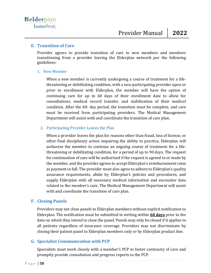#### **E. Transition of Care**

Provider agrees to provide transition of care to new members and members transitioning from a provider leaving the Elderplan network per the following guidelines:

#### 1. New Member

When a new member is currently undergoing a course of treatment for a lifethreatening or debilitating condition, with a non-participating provider upon or prior to enrollment with Elderplan, the member will have the option of continuing care for up to 60 days of their enrollment date to allow for consultations, medical record transfer, and stabilization of their medical condition. After the 60- day period, the transition must be complete, and care must be received from participating providers. The Medical Management Department will assist with and coordinate the transition of care plan.

## 2. Participating Provider Leaves the Plan

When a provider leaves the plan for reasons other than fraud, loss of license, or other final disciplinary action impairing the ability to practice, Elderplan will authorize the member to continue an ongoing course of treatment for a lifethreatening or debilitating condition, for a period of up to 90 days. The request for continuation of care will be authorized if the request is agreed to or made by the member, and the provider agrees to accept Elderplan's reimbursement rates as payment in full. The provider must also agree to adhere to Elderplan's quality assurance requirements, abide by Elderplan's policies and procedures, and supply Elderplan with all necessary medical information and encounter data related to the member's care. The Medical Management Department will assist with and coordinate the transition of care plan.

## **F. Closing Panels**

Providers may not close panels to Elderplan members without explicit notification to Elderplan. The notification must be submitted in writing within **60 days** prior to the date on which they intend to close the panel. Panels may only be closed if it applies to all patients regardless of insurance coverage. Providers may not discriminate by closing their patient panel to Elderplan members only or by Elderplan product line.

## **G. Specialist Communication with PCP**

Specialists must work closely with a member's PCP to foster continuity of care and promptly provide consultation and progress reports to the PCP.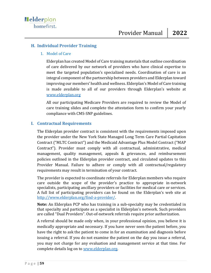## **H. Individual Provider Training**

#### 1. Model of Care

Elderplan has created Model of Care training materials that outline coordination of care delivered by our network of providers who have clinical expertise to meet the targeted population's specialized needs. Coordination of care is an integral component of the partnership between providers and Elderplan toward improving our members' health and wellness. Elderplan's Model of Care training is made available to all of our providers through Elderplan's website at [www.elderplan.org](http://www.elderplan.org/)

All our participating Medicare Providers are required to review the Model of care training slides and complete the attestation form to confirm your yearly compliance with CMS-SNP guidelines.

## **I. Contractual Requirements**

The Elderplan provider contract is consistent with the requirements imposed upon the provider under the New York State Managed Long Term Care Partial Capitation Contract ("MLTC Contract") and the Medicaid Advantage Plus Model Contract ("MAP Contract"). Provider must comply with all contractual, administrative, medical management, quality management, appeals & grievances, and reimbursement policies outlined in the Elderplan provider contract, and circulated updates to this Provider Manual. Failure to adhere or comply with all contractual/regulatory requirements may result in termination of your contract.

The provider is expected to coordinate referrals for Elderplan members who require care outside the scope of the provider's practice to appropriate in-network specialists, participating ancillary providers or facilities for medical care or services. A full list of participating providers can be found on the Elderplan's web site at [http://www.elderplan.org/find-a-provider/.](http://www.elderplan.org/find-a-provider/)

**Note:** An Elderplan PCP who has training in a sub-specialty may be credentialed in that specialty and participate as a specialist in Elderplan's network. Such providers are called "Dual Providers". Out-of-network referrals require prior authorization.

A referral should be made only when, in your professional opinion, you believe it is medically appropriate and necessary. If you have never seen the patient before, you have the right to ask the patient to come in for an examination and diagnosis before issuing a referral. If you do not examine the patient on the day you issue a referral, you may not charge for any evaluation and management service at that time. For complete details log on to [www.elderplan.org.](http://www.elderplan.org/)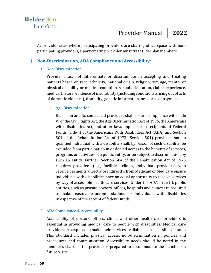At provider sites where participating providers are sharing office space with nonparticipating providers, a participating provider must treat Elderplan members.

## **J. Non-Discrimination, ADA Compliance and Accessibility:**

## 1. Non-Discrimination

Provider must not differentiate or discriminate in accepting and treating patients based on race, ethnicity, national origin, religion, sex, age, mental or physical disability or medical condition, sexual orientation, claims experience, medical history, evidence of insurability (including conditions arising out of acts of domestic violence), disability, genetic information, or source of payment.

#### a. Age Discrimination

Elderplan and its contracted providers shall ensure compliance with Title VI of the Civil Rights Act, the Age Discrimination Act of 1975, the Americans with Disabilities Act, and other laws applicable to recipients of Federal Funds. Title II of the Americans With Disabilities Act (ADA) and Section 504 of the Rehabilitation Act of 1973 (Section 504) provides that no qualified individual with a disability shall, by reason of such disability, be excluded from participation in or denied access to the benefits of services, programs or activities of a public entity, or be subject to discrimination by such an entity. Further, Section 504 of the Rehabilitation Act of 1973 requires providers (e.g., facilities, clinics, individual providers) who receive payments, directly or indirectly, from Medicaid or Medicare ensure individuals with disabilities have an equal opportunity to receive services by way of accessible health care services. Under the ADA, Title III, public entities, such as private doctors' offices, hospitals and clinics are required to make reasonable accommodations for individuals with disabilities irrespective of the receipt of federal funds.

## 2. ADA Compliance & Accessibility

Accessibility of doctors' offices, clinics and other health care providers is essential in providing medical care to people with disabilities. Medical care providers are required to make their services available in an accessible manner. This standard includes physical access, non-discrimination in policies and procedures and communication. Accessibility needs should be noted in the member's chart, so the provider is prepared to accommodate the member on future visits.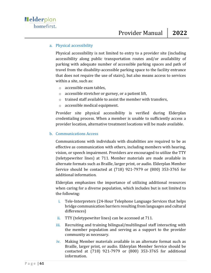#### a. Physical accessibility

Physical accessibility is not limited to entry to a provider site (including accessibility along public transportation routes and/or availability of parking with adequate number of accessible parking spaces and path of travel from the disability-accessible parking space to the facility entrance that does not require the use of stairs), but also means access to services within a site, such as:

- o accessible exam tables,
- o accessible stretcher or gurney, or a patient lift,
- o trained staff available to assist the member with transfers,
- o accessible medical equipment.

Provider site physical accessibility is verified during Elderplan credentialing process. When a member is unable to sufficiently access a provider location, alternative treatment locations will be made available.

#### b. Communications Access

Communications with individuals with disabilities are required to be as effective as communication with others, including members with hearing, vision, or speech impairment. Providers are encouraged to utilize the TTY (teletypewriter lines) at 711. Member materials are made available in alternate formats such as Braille, larger print, or audio. Elderplan Member Service should be contacted at (718) 921-7979 or (800) 353-3765 for additional information.

Elderplan emphasizes the importance of utilizing additional resources when caring for a diverse population, which includes but is not limited to the following:

- i. Tele-Interpreters (24-Hour Telephone Language Services that helps bridge communication barriers resulting from languages and cultural differences)
- ii. TTY (teletypewriter lines) can be accessed at 711.
- iii. Recruiting and training bilingual/multilingual staff interacting with the member population and serving as a support to the provider community as necessary.
- iv. Making Member materials available in an alternate format such as Braille, larger print, or audio. Elderplan Member Service should be contacted at (718) 921-7979 or (800) 353-3765 for additional information.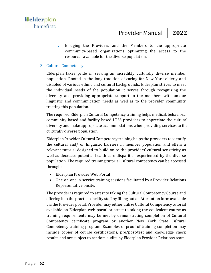v. Bridging the Providers and the Members to the appropriate community-based organizations optimizing the access to the resources available for the diverse population.

#### 3. Cultural Competency

Elderplan takes pride in serving an incredibly culturally diverse member population. Rooted in the long tradition of caring for New York elderly and disabled of various ethnic and cultural backgrounds, Elderplan strives to meet the individual needs of the population it serves through recognizing the diversity and providing appropriate support to the members with unique linguistic and communication needs as well as to the provider community treating this population.

The required Elderplan Cultural Competency training helps medical, behavioral, community-based and facility-based LTSS providers to appreciate the cultural diversity and make appropriate accommodations when providing services to the culturally diverse population.

Elderplan Provider Cultural Competency training helps the providers to identify the cultural and/ or linguistic barriers in member population and offers a relevant tutorial designed to build on to the providers' cultural sensitivity as well as decrease potential health care disparities experienced by the diverse population. The required training tutorial Cultural competency can be accessed through:

- Elderplan Provider Web Portal
- One-on-one in-service training sessions facilitated by a Provider Relations Representative onsite.

The provider is required to attest to taking the Cultural Competency Course and offering it to the practice/facility staff by filling out an Attestation form available via the Provider portal. Provider may either utilize Cultural Competency tutorial available on Elderplan web portal or attest to taking the equivalent course as training requirements may be met by demonstrating completion of Cultural Competency certificate program or another New York State Cultural Competency training program. Examples of proof of training completion may include copies of course certifications, pre/post-test and knowledge check results and are subject to random audits by Elderplan Provider Relations team.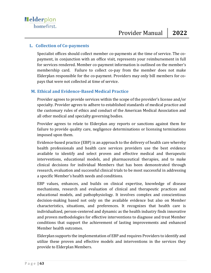## **L. Collection of Co-payments**

Specialist offices should collect member co-payments at the time of service. The copayment, in conjunction with an office visit, represents your reimbursement in full for services rendered. Member co-payment information is outlined on the member's membership card. Failure to collect co-pay from the member does not make Elderplan responsible for the co-payment. Providers may only bill members for copays that were not collected at time of service.

## **M. Ethical and Evidence-Based Medical Practice**

Provider agrees to provide services within the scope of the provider's license and/or specialty. Provider agrees to adhere to established standards of medical practice and the customary rules of ethics and conduct of the American Medical Association and all other medical and specialty governing bodies.

Provider agrees to relate to Elderplan any reports or sanctions against them for failure to provide quality care, negligence determinations or licensing terminations imposed upon them.

Evidence-based practice (EBP) is an approach to the delivery of health care whereby health professionals and health care services providers use the best evidence available to identify and select proven and effective medical and therapeutic interventions, educational models, and pharmaceutical therapies, and to make clinical decisions for individual Members that has been demonstrated through research, evaluation and successful clinical trials to be most successful in addressing a specific Member's health needs and conditions.

EBP values, enhances, and builds on clinical expertise, knowledge of disease mechanisms, research and evaluation of clinical and therapeutic practices and educational models, and pathophysiology. It involves complex and conscientious decision-making based not only on the available evidence but also on Member characteristics, situations, and preferences. It recognizes that health care is individualized, person-centered and dynamic as the health industry finds innovative and proven methodologies for effective interventions to diagnose and treat Member conditions that support the achievement of lasting improvements and enhanced Member health outcomes.

Elderplan supports the implementation of EBP and requires Providers to identify and utilize these proven and effective models and interventions in the services they provide to Elderplan Members.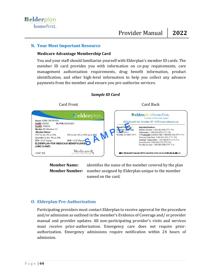#### **N. Your Most Important Resource**

#### **Medicare Advantage Membership Card**

You and your staff should familiarize yourself with Elderplan's member ID cards. The member ID card provides you with information on co-pay requirements, care management authorization requirements, drug benefit information, product identification, and other high-level information to help you collect any advance payments from the member and ensure you pre-authorize services.



*Sample ID Card*

**Member Name:** identifies the name of the member covered by the plan **Member Number:** number assigned by Elderplan unique to the member named on the card.

## **O. Elderplan Pre-Authorization**

Participating providers must contact Elderplan to receive approval for the procedure and/or admission as outlined in the member's Evidence of Coverage and/ or provider manual and provider updates. All non-participating provider's visits and services must receive prior-authorization. Emergency care does not require priorauthorization. Emergency admissions require notification within 24 hours of admission.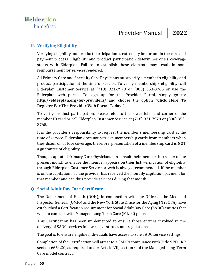## **P. Verifying Eligibility**

Verifying eligibility and product participation is extremely important in the care and payment process. Eligibility and product participation determines one's coverage status with Elderplan. Failure to establish these elements may result in nonreimbursement for services rendered.

All Primary Care and Specialty Care Physicians must verify a member's eligibility and product participation at the time of service. To verify membership/ eligibility, call Elderplan Customer Service at (718) 921-7979 or (800) 353-3765 or use the Elderplan web portal. To sign up for the Provider Portal, simply go to: **http://elderplan.org/for-providers/** and choose the option **"Click Here To Register For The Provider Web Portal Today."**

To verify product participation, please refer to the lower left-hand corner of the member ID card or call Elderplan Customer Service at (718) 921-7979 or (800) 353- 3765.

It is the provider's responsibility to request the member's membership card at the time of service. Elderplan does not retrieve membership cards from members when they disenroll or lose coverage; therefore, presentation of a membership card is **NOT** a guarantee of eligibility.

Though capitated Primary Care Physicians can consult their membership roster of the present month to ensure the member appears on their list, verification of eligibility through Elderplan Customer Service or web is always recommended. If the member is on the capitation list, the provider has received the monthly capitation payment for that member and can thus provide services during that month.

## **Q. Social Adult Day Care Certificate**

The Department of Health (DOH), in conjunction with the Office of the Medicaid Inspector General (OMIG) and the New York State Office for the Aging (NYSOFA) have established a Certification requirement for Social Adult Day Care (SADC) entities that wish to contract with Managed Long Term Care (MLTC) plans.

This Certification has been implemented to ensure those entities involved in the delivery of SADC services follow relevant rules and regulations.

The goal is to ensure eligible individuals have access to safe SADC service settings.

Completion of the Certification will attest to a SADCs compliance with Title 9 NYCRR section 6654.20, as required under Article VII, section C of the Managed Long-Term Care model contract.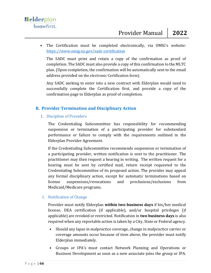• The Certification must be completed electronically, via OMIG's website: <https://www.omig.ny.gov/sadc-certification>

The SADC must print and retain a copy of the confirmation as proof of completion. The SADC must also provide a copy of this confirmation to the MLTC plan. (Upon completion, the confirmation will be automatically sent to the email address provided on the electronic Certification form).

Any SADC seeking to enter into a new contract with Elderplan would need to successfully complete the Certification first, and provide a copy of the confirmation page to Elderplan as proof of completion.

## **R. Provider Termination and Disciplinary Action**

1. Discipline of Providers

The Credentialing Subcommittee has responsibility for recommending suspension or termination of a participating provider for substandard performance or failure to comply with the requirements outlined in the Elderplan Provider Agreement.

If the Credentialing Subcommittee recommends suspension or termination of a participating provider, written notification is sent to the practitioner. The practitioner may then request a hearing in writing. The written request for a hearing must be sent by certified mail, return receipt requested to the Credentialing Subcommittee of its proposed action. The provider may appeal any formal disciplinary action, except for automatic terminations based on license suspensions/revocations and preclusions/exclusions from Medicaid/Medicare programs.

## 1. Notification of Change

Provider must notify Elderplan **within two business days** if his/her medical license, DEA certification (if applicable), and/or hospital privileges (if applicable) are revoked or restricted. Notification in **two business days** is also required when any reportable action is taken by a City, State or Federal agency.

- Should any lapse in malpractice coverage, change in malpractice carrier or coverage amounts occur because of item above, the provider must notify Elderplan immediately.
- Groups or IPA's must contact Network Planning and Operations or Business Development as soon as a new associate joins the group or IPA.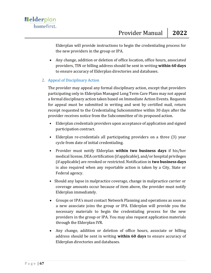Elderplan will provide instructions to begin the credentialing process for the new providers in the group or IPA.

• Any change, addition or deletion of office location, office hours, associated providers, TIN or billing address should be sent in writing **within 60 days**  to ensure accuracy of Elderplan directories and databases.

## 2. Appeal of Disciplinary Action

The provider may appeal any formal disciplinary action, except that providers participating only in Elderplan Managed Long Term Care Plans may not appeal a formal disciplinary action taken based on Immediate Action Events. Requests for appeal must be submitted in writing and sent by certified mail, return receipt requested to the Credentialing Subcommittee within 30 days after the provider receives notice from the Subcommittee of its proposed action.

- Elderplan credentials providers upon acceptance of application and signed participation contract.
- Elderplan re-credentials all participating providers on a three (3) year cycle from date of initial credentialing.
- Provider must notify Elderplan **within two business days** if his/her medical license, DEA certification (if applicable), and/or hospital privileges (if applicable) are revoked or restricted. Notification in **two business days**  is also required when any reportable action is taken by a City, State or Federal agency.
- Should any lapse in malpractice coverage, change in malpractice carrier or coverage amounts occur because of item above, the provider must notify Elderplan immediately.
- Groups or IPA's must contact Network Planning and operations as soon as a new associate joins the group or IPA. Elderplan will provide you the necessary materials to begin the credentialing process for the new providers in the group or IPA. You may also request application materials through the Elderplan IVR.
- Any change, addition or deletion of office hours, associate or billing address should be sent in writing **within 60 days** to ensure accuracy of Elderplan directories and databases.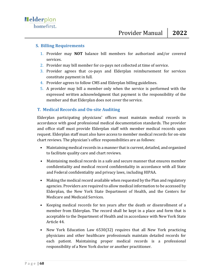## **S. Billing Requirements**

- 1. Provider may **NOT** balance bill members for authorized and/or covered services.
- 2. Provider may bill member for co-pays not collected at time of service.
- 3. Provider agrees that co-pays and Elderplan reimbursement for services constitute payment in full.
- 4. Provider agrees to follow CMS and Elderplan billing guidelines.
- 5. A provider may bill a member only when the service is performed with the expressed written acknowledgment that payment is the responsibility of the member and that Elderplan does not cover the service.

# **T. Medical Records and On-site Auditing**

Elderplan participating physicians' offices must maintain medical records in accordance with good professional medical documentation standards. The provider and office staff must provide Elderplan staff with member medical records upon request. Elderplan staff must also have access to member medical records for on-site chart reviews. The physician's office responsibilities are as follows:

- Maintaining medical records in a manner that is current, detailed, and organized to facilitate quality care and chart reviews.
- Maintaining medical records in a safe and secure manner that ensures member confidentiality and medical record confidentiality in accordance with all State and Federal confidentiality and privacy laws, including HIPAA.
- Making the medical record available when requested by the Plan and regulatory agencies. Providers are required to allow medical information to be accessed by Elderplan, the New York State Department of Health, and the Centers for Medicare and Medicaid Services.
- Keeping medical records for ten years after the death or disenrollment of a member from Elderplan. The record shall be kept in a place and form that is acceptable to the Department of Health and in accordance with New York State Article 44.
- New York Education Law 6530(32) requires that all New York practicing physicians and other healthcare professionals maintain detailed records for each patient. Maintaining proper medical records is a professional responsibility of a New York doctor or another practitioner.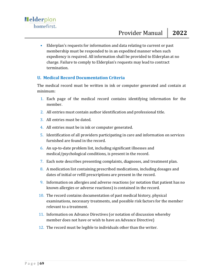• Elderplan's requests for information and data relating to current or past membership must be responded to in an expedited manner when such expediency is required. All information shall be provided to Elderplan at no charge. Failure to comply to Elderplan's requests may lead to contract termination.

## **U. Medical Record Documentation Criteria**

The medical record must be written in ink or computer generated and contain at minimum:

- 1. Each page of the medical record contains identifying information for the member.
- 2. All entries must contain author identification and professional title.
- 3. All entries must be dated.
- 4. All entries must be in ink or computer generated.
- 5. Identification of all providers participating in care and information on services furnished are found in the record.
- 6. An up-to-date problem list, including significant illnesses and medical/psychological conditions, is present in the record.
- 7. Each note describes presenting complaints, diagnoses, and treatment plan.
- 8. A medication list containing prescribed medications, including dosages and dates of initial or refill prescriptions are present in the record.
- 9. Information on allergies and adverse reactions (or notation that patient has no known allergies or adverse reactions) is contained in the record.
- 10. The record contains documentation of past medical history, physical examinations, necessary treatments, and possible risk factors for the member relevant to a treatment.
- 11. Information on Advance Directives (or notation of discussion whereby member does not have or wish to have an Advance Directive)
- 12. The record must be legible to individuals other than the writer.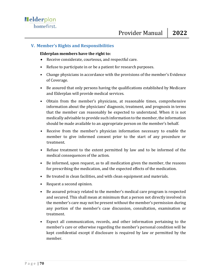## **V. Member's Rights and Responsibilities**

#### **Elderplan members have the right to:**

- Receive considerate, courteous, and respectful care.
- Refuse to participate in or be a patient for research purposes.
- Change physicians in accordance with the provisions of the member's Evidence of Coverage.
- Be assured that only persons having the qualifications established by Medicare and Elderplan will provide medical services.
- Obtain from the member's physicians, at reasonable times, comprehensive information about the physicians' diagnosis, treatment, and prognosis in terms that the member can reasonably be expected to understand. When it is not medically advisable to provide such information to the member, the information should be made available to an appropriate person on the member's behalf.
- Receive from the member's physician information necessary to enable the member to give informed consent prior to the start of any procedure or treatment.
- Refuse treatment to the extent permitted by law and to be informed of the medical consequences of the action.
- Be informed, upon request, as to all medication given the member, the reasons for prescribing the medication, and the expected effects of the medication.
- Be treated in clean facilities, and with clean equipment and materials.
- Request a second opinion.
- Be assured privacy related to the member's medical care program is respected and secured. This shall mean at minimum that a person not directly involved in the member's care may not be present without the member's permission during any portion of the member's case discussion, consultation, examination or treatment.
- Expect all communication, records, and other information pertaining to the member's care or otherwise regarding the member's personal condition will be kept confidential except if disclosure is required by law or permitted by the member.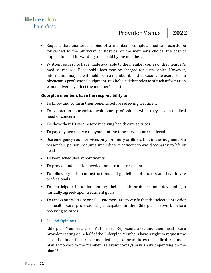- Request that unaltered copies of a member's complete medical records be forwarded to the physician or hospital of the member's choice, the cost of duplication and forwarding to be paid by the member.
- Written request, to have made available to the member copies of the member's medical records; Reasonable fees may be charged for such copies. However, information may be withheld from a member if, in the reasonable exercise of a physician's professional judgment, it is believed that release of such information would adversely affect the member's health.

## **Elderplan members have the responsibility to:**

- To know and confirm their benefits before receiving treatment
- To contact an appropriate health care professional when they have a medical need or concern
- To show their ID card before receiving health care services
- To pay any necessary co-payment at the time services are rendered
- Use emergency room services only for injury or illness that in the judgment of a reasonable person, requires immediate treatment to avoid jeopardy to life or health
- To keep scheduled appointments
- To provide information needed for care and treatment
- To follow agreed-upon instructions and guidelines of doctors and health care professionals.
- To participate in understanding their health problems and developing a mutually agreed-upon treatment goals.
- To access our Web site or call Customer Care to verify that the selected provider or health care professional participates in the Elderplan network before receiving services.

## 1. Second Opinions

Elderplan Members, their Authorized Representatives and their health care providers acting on behalf of the Elderplan Members have a right to request the second opinion for a recommended surgical procedures or medical treatment plan at no cost to the member (relevant co-pays may apply depending on the plan.)\*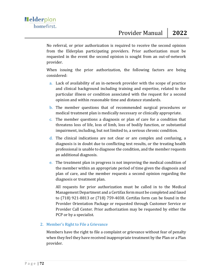No referral, or prior authorization is required to receive the second opinion from the Elderplan participating providers. Prior authorization must be requested in the event the second opinion is sought from an out-of-network provider.

When issuing the prior authorization, the following factors are being considered:

- a. Lack of availability of an in-network provider with the scope of practice and clinical background including training and expertise, related to the particular illness or condition associated with the request for a second opinion and within reasonable time and distance standards.
- b. The member questions that of recommended surgical procedures or medical treatment plan is medically necessary or clinically appropriate.
- c. The member questions a diagnosis or plan of care for a condition that threatens loss of life, loss of limb, loss of bodily function, or substantial impairment, including, but not limited to, a serious chronic condition.
- d. The clinical indications are not clear or are complex and confusing, a diagnosis is in doubt due to conflicting test results, or the treating health professional is unable to diagnose the condition, and the member requests an additional diagnosis.
- e. The treatment plan in progress is not improving the medical condition of the member within an appropriate period of time given the diagnosis and plan of care, and the member requests a second opinion regarding the diagnosis or treatment plan.

All requests for prior authorization must be called in to the Medical Management Department and a Certifax form must be completed and faxed to (718) 921-8813 or (718) 759-4038. Certifax form can be found in the Provider Orientation Package or requested through Customer Service or Provider Call Center. Prior authorization may be requested by either the PCP or by a specialist.

## 2. Member's Right to File a Grievance

Members have the right to file a complaint or grievance without fear of penalty when they feel they have received inappropriate treatment by the Plan or a Plan provider.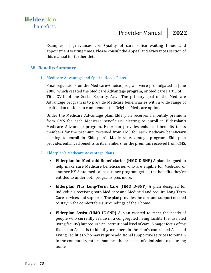Examples of grievances are: Quality of care, office waiting times, and appointment waiting times. Please consult the Appeal and Grievances section of this manual for further details.

## **W. Benefits Summary**

## 1. Medicare Advantage and Special Needs Plans

Final regulations on the Medicare+Choice program were promulgated in June 2000, which created the Medicare Advantage program, or Medicare Part C of Title XVIII of the Social Security Act. The primary goal of the Medicare Advantage program is to provide Medicare beneficiaries with a wide range of health plan options to complement the Original Medicare option.

Under the Medicare Advantage plan, Elderplan receives a monthly premium from CMS for each Medicare beneficiary electing to enroll in Elderplan's Medicare Advantage program. Elderplan provides enhanced benefits to its members for the premium received from CMS for each Medicare beneficiary electing to enroll in Elderplan's Medicare Advantage program. Elderplan provides enhanced benefits to its members for the premium received from CMS.

## 2. Elderplan's Medicare Advantage Plans

- **[Elderplan for Medicaid Beneficiaries \(HMO D-SNP\)](https://elderplan.org/resources/plan-options/2017-options/elderplan-for-medicaid-beneficiaries-hmo-snp/)** A plan designed to help make sure Medicare beneficiaries who are eligible for Medicaid or another NY State medical assistance program get all the benefits they're entitled to under both programs plus more.
- **Elderplan Plus Long-Term Care (HMO D-SNP)** A plan designed for individuals receiving both Medicare and Medicaid and require Long Term Care services and supports. The plan provides the care and support needed to stay in the comfortable surroundings of their home.
- **Elderplan Assist (HMO IE-SNP)** A plan created to meet the needs of people who currently reside in a congregated living facility (i.e. assisted living facility) but require an institutional level of care. A major focus of the Elderplan Assist is to identify members in the Plan's contracted Assisted Living Facilities who may require additional supportive services to remain in the community rather than face the prospect of admission to a nursing home.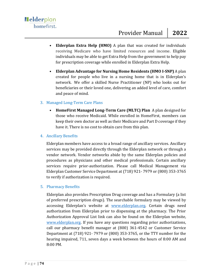- **Elderplan Extra Help (HMO)** A plan that was created for individuals receiving Medicare who have limited resources and income. Eligible individuals may be able to get Extra Help from the government to help pay for prescription coverage while enrolled in Elderplan Extra Help.
- **Elderplan Advantage for Nursing Home Residents (HMO I-SNP)** A plan created for people who live in a nursing home that is in Elderplan's network. We offer a skilled Nurse Practitioner (NP) who looks out for beneficiaries or their loved one, delivering an added level of care, comfort and peace of mind.

## 3. Managed Long-Term Care Plans

• **[HomeFirst Managed Long-Term Care \(MLTC\) Plan](http://www.homefirst.org/)** A plan designed for those who receive Medicaid. While enrolled in HomeFirst, members can keep their own doctor as well as their Medicare and Part D coverage if they have it. There is no cost to obtain care from this plan.

## 4. Ancillary Benefits

Elderplan members have access to a broad range of ancillary services. Ancillary services may be provided directly through the Elderplan network or through a vendor network. Vendor networks abide by the same Elderplan policies and procedures as physicians and other medical professionals. Certain ancillary services require prior-authorization. Please call Medical Management via Elderplan Customer Service Department at (718) 921- 7979 or (800) 353-3765 to verify if authorization is required.

## 5. Pharmacy Benefits

Elderplan also provides Prescription Drug coverage and has a Formulary (a list of preferred prescription drugs). The searchable formulary may be viewed by accessing Elderplan's website at [www.elderplan.org.](http://www.elderplan.org/) Certain drugs need authorization from Elderplan prior to dispensing at the pharmacy. The Prior Authorization Approval List link can also be found on the Elderplan website, [www.elderplan.org.](http://www.elderplan.org/) If you have any questions regarding prior authorizations, call our pharmacy benefit manager at (800) 361-4542 or Customer Service Department at (718) 921- 7979 or (800) 353-3765, or the TTY number for the hearing impaired, 711, seven days a week between the hours of 8:00 AM and 8:00 PM.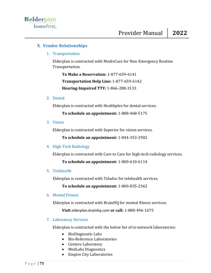# **X**. **Vendor Relationships**

1. Transportation

Elderplan is contracted with ModivCare for Non-Emergency Routine Transportation.

**To Make a Reservation:** 1-877-659-6141 **Transportation Help Line:** 1-877-659-6142 **Hearing-Impaired TTY:** 1-866-288-3133

## 2. Dental

Elderplan is contracted with Healthplex for dental services.

**To schedule an appointment:** 1-888-468-5175

3. Vision

Elderplan is contracted with Superior for vision services.

**To schedule an appointment:** 1-844-353-2902

## 4. High-Tech Radiology

Elderplan is contracted with Care to Care for high-tech radiology services.

**To schedule an appointment:** 1-800-610-6114

5. Telehealth

Elderplan is contracted with Teladoc for telehealth services.

**To schedule an appointment:** 1-800-835-2362

6. Mental Fitness

Elderplan is contracted with BrainHQ for mental fitness services.

**Visit** *elderplan.brainhq.com* **or call:** 1-888-496-1675

7. Laboratory Services

Elderplan is contracted with the below list of in-network laboratories:

- BioDiagnostic Labs
- Bio-Reference Laboratories
- Centers Laboratory
- MedLabs Diagnostics
- Empire City Laboratories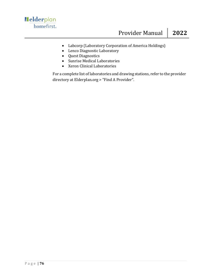- Labcorp (Laboratory Corporation of America Holdings)
- Lenco Diagnostic Laboratory
- Quest Diagnostics
- Sunrise Medical Laboratories
- Xeron Clinical Laboratories

For a complete list of laboratories and drawing stations, refer to the provider directory at Elderplan.org > "Find A Provider".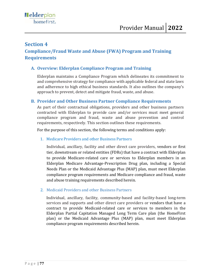# **Section 4 Compliance/Fraud Waste and Abuse (FWA) Program and Training Requirements**

# **A. Overview: Elderplan Compliance Program and Training**

Elderplan maintains a Compliance Program which delineates its commitment to and comprehensive strategy for compliance with applicable federal and state laws and adherence to high ethical business standards. It also outlines the company's approach to prevent, detect and mitigate fraud, waste, and abuse.

## **B. Provider and Other Business Partner Compliance Requirements**

As part of their contractual obligations, providers and other business partners contracted with Elderplan to provide care and/or services must meet general compliance program and fraud, waste and abuse prevention and control requirements, respectively. This section outlines these requirements.

For the purpose of this section, the following terms and conditions apply:

## 1. Medicare Providers and other Business Partners

Individual, ancillary, facility and other direct care providers, vendors or first tier, downstream or related entities (FDRs) that have a contract with Elderplan to provide Medicare-related care or services to Elderplan members in an Elderplan Medicare Advantage-Prescription Drug plan, including a Special Needs Plan or the Medicaid Advantage Plus (MAP) plan, must meet Elderplan compliance program requirements and Medicare compliance and fraud, waste and abuse training requirements described herein.

2. Medicaid Providers and other Business Partners

Individual, ancillary, facility, community-based and facility-based long-term services and supports and other direct care providers or vendors that have a contract to provide Medicaid-related care or services to members in the Elderplan Partial Capitation Managed Long Term Care plan (the HomeFirst plan) or the Medicaid Advantage Plus (MAP) plan, must meet Elderplan compliance program requirements described herein.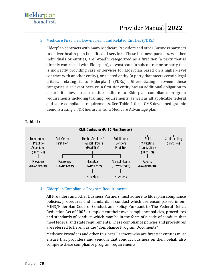## 3. Medicare First Tier, Downstream and Related Entities (FDRs)

Elderplan contracts with many Medicare Providers and other Business partners to deliver health plan benefits and services. These business partners, whether individuals or entities, are broadly categorized as a first tier (a party that is directly contracted with Elderplan), downstream (a subcontractor or party that is indirectly providing care or services for Elderplan based on a higher-level contract with another entity), or related entity (a party that meets certain legal criteria relating it to Elderplan) (FDRs). Differentiating between these categories is relevant because a first-tier entity has an additional obligation to ensure its downstream entities adhere to Elderplan compliance program requirements including training requirements, as well as all applicable federal and state compliance requirements. See Table 1 for a CMS developed graphic demonstrating a FDR hierarchy for a Medicare Advantage plan.

| <b>CMS Contractor (Part C Plan Sponsor)</b>                  |                                     |                                                     |                                                |                                                     |                               |
|--------------------------------------------------------------|-------------------------------------|-----------------------------------------------------|------------------------------------------------|-----------------------------------------------------|-------------------------------|
| Independent<br>Practice<br><b>Associates</b><br>(First Tier) | <b>Call Centers</b><br>(First Tier) | Health Services/<br>Hospital Groups<br>(First Tier) | <b>Fullfillment</b><br>Vendors<br>(First Tier) | Field<br>Marketing<br>Organizations<br>(First Tier) | Credentialing<br>(First Tier) |
| <b>Providers</b><br>(Downstream)                             | Radiology<br>(Downstream)           | <b>Hospitals</b><br>(Downstream)<br>Providers       | Mental Health<br>(Downstream)<br>Providers     | Agents<br>(Downstream)                              |                               |

## **Table 1:**

## 4. Elderplan Compliance Program Requirements

All Providers and other Business Partners must adhere to Elderplan compliance policies, procedures and standards of conduct which are encompassed in our MJHS/Elderplan Code of Conduct and Policy Pursuant to The Federal Deficit Reduction Act of 2005 or implement their own compliance policies, procedures and standards of conduct, which may be in the form of a code of conduct, that meet federal and state requirements. These compliance policies and procedures are referred to herein as the "Compliance Program Documents"

Medicare Providers and other Business Partners who are first tier entities must ensure that providers and vendors that conduct business on their behalf also complete these compliance program requirements.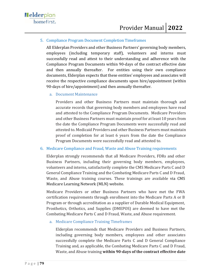## 5. Compliance Program Document Completion Timeframes

All Elderplan Providers and other Business Partners' governing body members, employees (including temporary staff), volunteers and interns must successfully read and attest to their understanding and adherence with the Compliance Program Documents within 90-days of the contract effective date and then annually thereafter. For entities using their own compliance documents, Elderplan expects that these entities' employees and associates will receive the respective compliance documents upon hire/appointment (within 90-days of hire/appointment) and then annually thereafter.

a. Document Maintenance

Providers and other Business Partners must maintain thorough and accurate records that governing body members and employees have read and attested to the Compliance Program Documents. Medicare Providers and other Business Partners must maintain proof for at least 10 years from the date the Compliance Program Documents were successfully read and attested to. Medicaid Providers and other Business Partners must maintain proof of completion for at least 6 years from the date the Compliance Program Documents were successfully read and attested to.

## 6. Medicare Compliance and Fraud, Waste and Abuse Training requirements

Elderplan strongly recommends that all Medicare Providers, FDRs and other Business Partners, including their governing body members, employees, volunteers and interns, satisfactorily complete the CMS Medicare Parts C and D General Compliance Training and the Combating Medicare Parts C and D Fraud, Waste, and Abuse training courses. These trainings are available via CMS Medicare Learning Network (MLN) website.

Medicare Providers or other Business Partners who have met the FWA certification requirements through enrollment into the Medicare Parts A or B Program or through accreditation as a supplier of Durable Medical Equipment, Prosthetics, Orthotics, and Supplies (DMEPOS) are deemed to have met the Combating Medicare Parts C and D Fraud, Waste, and Abuse requirement.

## a. Medicare Compliance Training Timeframes

Elderplan recommends that Medicare Providers and Business Partners, including governing body members, employees and other associates successfully complete the Medicare Parts C and D General Compliance Training and, as applicable, the Combating Medicare Parts C and D Fraud, Waste, and Abuse training **within 90-days of the contract effective date**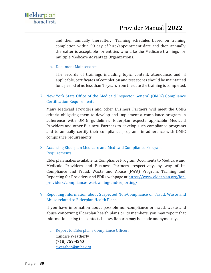and then annually thereafter. Training schedules based on training completion within 90-day of hire/appointment date and then annually thereafter is acceptable for entities who take the Medicare trainings for multiple Medicare Advantage Organizations.

## b. Document Maintenance

The records of trainings including topic, content, attendance, and, if applicable, certificates of completion and test scores should be maintained for a period of no less than 10 years from the date the training is completed.

7. New York State Office of the Medicaid Inspector General (OMIG) Compliance Certification Requirements

Many Medicaid Providers and other Business Partners will meet the OMIG criteria obligating them to develop and implement a compliance program in adherence with OMIG guidelines. Elderplan expects applicable Medicaid Providers and other Business Partners to develop such compliance programs and to annually certify their compliance programs in adherence with OMIG compliance requirements.

# 8. Accessing Elderplan Medicare and Medicaid Compliance Program Requirements

Elderplan makes available its Compliance Program Documents to Medicare and Medicaid Providers and Business Partners, respectively, by way of its Compliance and Fraud, Waste and Abuse (FWA) Program, Training and Reporting for Providers and FDRs webpage at [https://www.elderplan.org/for](https://www.elderplan.org/for-providers/compliance-fwa-training-and-reporting/)[providers/compliance-fwa-training-and-reporting/.](https://www.elderplan.org/for-providers/compliance-fwa-training-and-reporting/)

# 9. Reporting information about Suspected Non-Compliance or Fraud, Waste and Abuse related to Elderplan Health Plans

If you have information about possible non-compliance or fraud, waste and abuse concerning Elderplan health plans or its members, you may report that information using the contacts below. Reports may be made anonymously.

a. Report to Elderplan's Compliance Officer: Candice Weatherly (718) 759-4260 [cweather@mjhs.org](mailto:cweather@mjhs.org)